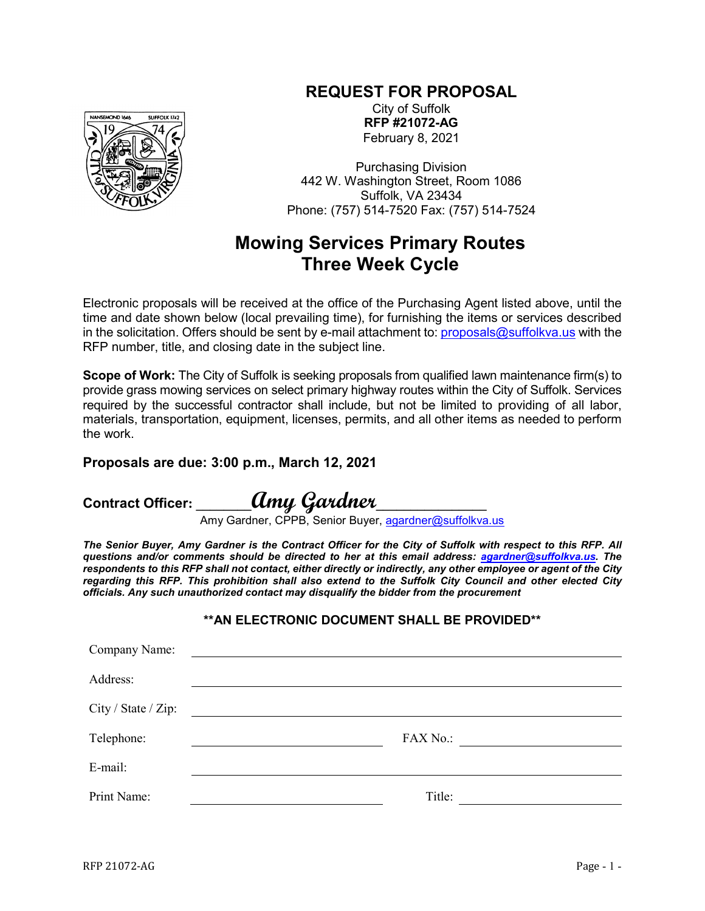## **REQUEST FOR PROPOSAL**



City of Suffolk **RFP #21072-AG** February 8, 2021

Purchasing Division 442 W. Washington Street, Room 1086 Suffolk, VA 23434 Phone: (757) 514-7520 Fax: (757) 514-7524

## **Mowing Services Primary Routes Three Week Cycle**

Electronic proposals will be received at the office of the Purchasing Agent listed above, until the time and date shown below (local prevailing time), for furnishing the items or services described in the solicitation. Offers should be sent by e-mail attachment to: [proposals@suffolkva.us](mailto:proposals@suffolkva.us) with the RFP number, title, and closing date in the subject line.

**Scope of Work:** The City of Suffolk is seeking proposals from qualified lawn maintenance firm(s) to provide grass mowing services on select primary highway routes within the City of Suffolk. Services required by the successful contractor shall include, but not be limited to providing of all labor, materials, transportation, equipment, licenses, permits, and all other items as needed to perform the work.

## **Proposals are due: 3:00 p.m., March 12, 2021**

**Contract Officer: \_\_\_\_\_\_\_\_Amy Gardner\_\_\_\_\_\_\_\_\_\_\_\_\_\_\_\_**

Amy Gardner, CPPB, Senior Buyer, <u>agardner@suffolkva.us</u>

*The Senior Buyer, Amy Gardner is the Contract Officer for the City of Suffolk with respect to this RFP. All questions and/or comments should be directed to her at this email address: [agardner@suffolkva.us.](mailto:agardner@suffolkva.us) The respondents to this RFP shall not contact, either directly or indirectly, any other employee or agent of the City regarding this RFP. This prohibition shall also extend to the Suffolk City Council and other elected City officials. Any such unauthorized contact may disqualify the bidder from the procurement*

## **\*\*AN ELECTRONIC DOCUMENT SHALL BE PROVIDED\*\***

| Company Name:       | <u> Alexandria de la contrada de la contrada de la contrada de la contrada de la contrada de la contrada de la c</u> |
|---------------------|----------------------------------------------------------------------------------------------------------------------|
| Address:            |                                                                                                                      |
| City / State / Zip: | <u> 1989 - Andrea State Barbara, política e a contra de la contra de la contra de la contra de la contra de la c</u> |
| Telephone:          | FAX No.:<br><u> 1989 - John Stein, Amerikaansk politiker (</u> † 1920)                                               |
| E-mail:             |                                                                                                                      |
| Print Name:         | Title:                                                                                                               |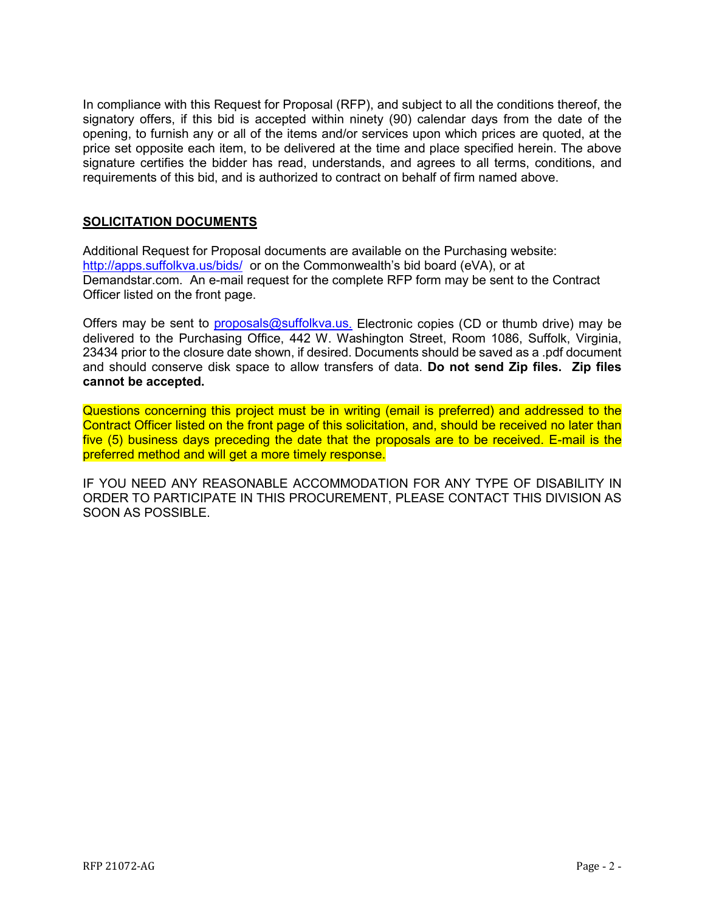In compliance with this Request for Proposal (RFP), and subject to all the conditions thereof, the signatory offers, if this bid is accepted within ninety (90) calendar days from the date of the opening, to furnish any or all of the items and/or services upon which prices are quoted, at the price set opposite each item, to be delivered at the time and place specified herein. The above signature certifies the bidder has read, understands, and agrees to all terms, conditions, and requirements of this bid, and is authorized to contract on behalf of firm named above.

## **SOLICITATION DOCUMENTS**

Additional Request for Proposal documents are available on the Purchasing website: <http://apps.suffolkva.us/bids/> or on the Commonwealth's bid board (eVA), or at Demandstar.com. An e-mail request for the complete RFP form may be sent to the Contract Officer listed on the front page.

Offers may be sent to [proposals@suffolkva.us.](mailto:proposals@suffolkva.us) Electronic copies (CD or thumb drive) may be delivered to the Purchasing Office, 442 W. Washington Street, Room 1086, Suffolk, Virginia, 23434 prior to the closure date shown, if desired. Documents should be saved as a .pdf document and should conserve disk space to allow transfers of data. **Do not send Zip files. Zip files cannot be accepted.**

Questions concerning this project must be in writing (email is preferred) and addressed to the Contract Officer listed on the front page of this solicitation, and, should be received no later than five (5) business days preceding the date that the proposals are to be received. E-mail is the preferred method and will get a more timely response.

IF YOU NEED ANY REASONABLE ACCOMMODATION FOR ANY TYPE OF DISABILITY IN ORDER TO PARTICIPATE IN THIS PROCUREMENT, PLEASE CONTACT THIS DIVISION AS SOON AS POSSIBLE.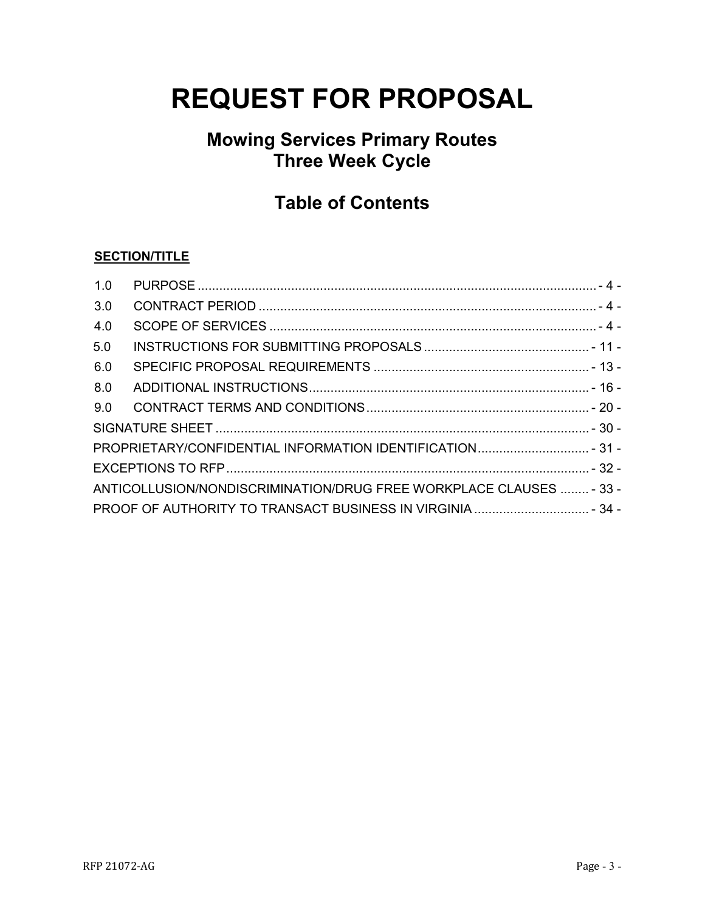# **REQUEST FOR PROPOSAL**

## **Mowing Services Primary Routes Three Week Cycle**

## **Table of Contents**

## **SECTION/TITLE**

| 1.0                                                                 |                                                            |  |
|---------------------------------------------------------------------|------------------------------------------------------------|--|
| 3.0                                                                 |                                                            |  |
| 4.0                                                                 |                                                            |  |
| 5.0                                                                 |                                                            |  |
| 6.0                                                                 |                                                            |  |
| 8.0                                                                 |                                                            |  |
| 9.0                                                                 |                                                            |  |
|                                                                     |                                                            |  |
|                                                                     | PROPRIETARY/CONFIDENTIAL INFORMATION IDENTIFICATION - 31 - |  |
|                                                                     |                                                            |  |
| ANTICOLLUSION/NONDISCRIMINATION/DRUG FREE WORKPLACE CLAUSES  - 33 - |                                                            |  |
|                                                                     |                                                            |  |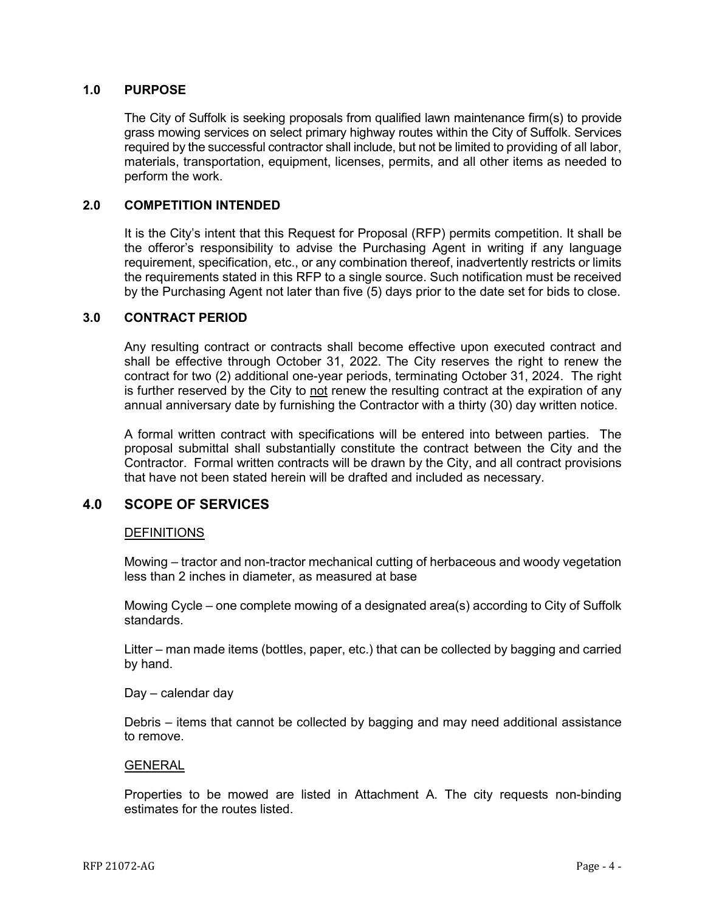## <span id="page-3-0"></span>**1.0 PURPOSE**

The City of Suffolk is seeking proposals from qualified lawn maintenance firm(s) to provide grass mowing services on select primary highway routes within the City of Suffolk. Services required by the successful contractor shall include, but not be limited to providing of all labor, materials, transportation, equipment, licenses, permits, and all other items as needed to perform the work.

## **2.0 COMPETITION INTENDED**

It is the City's intent that this Request for Proposal (RFP) permits competition. It shall be the offeror's responsibility to advise the Purchasing Agent in writing if any language requirement, specification, etc., or any combination thereof, inadvertently restricts or limits the requirements stated in this RFP to a single source. Such notification must be received by the Purchasing Agent not later than five (5) days prior to the date set for bids to close.

## <span id="page-3-1"></span>**3.0 CONTRACT PERIOD**

Any resulting contract or contracts shall become effective upon executed contract and shall be effective through October 31, 2022. The City reserves the right to renew the contract for two (2) additional one-year periods, terminating October 31, 2024. The right is further reserved by the City to not renew the resulting contract at the expiration of any annual anniversary date by furnishing the Contractor with a thirty (30) day written notice.

A formal written contract with specifications will be entered into between parties. The proposal submittal shall substantially constitute the contract between the City and the Contractor. Formal written contracts will be drawn by the City, and all contract provisions that have not been stated herein will be drafted and included as necessary.

## <span id="page-3-2"></span>**4.0 SCOPE OF SERVICES**

## **DEFINITIONS**

Mowing – tractor and non-tractor mechanical cutting of herbaceous and woody vegetation less than 2 inches in diameter, as measured at base

Mowing Cycle – one complete mowing of a designated area(s) according to City of Suffolk standards.

Litter – man made items (bottles, paper, etc.) that can be collected by bagging and carried by hand.

Day – calendar day

Debris – items that cannot be collected by bagging and may need additional assistance to remove.

#### GENERAL

Properties to be mowed are listed in Attachment A. The city requests non-binding estimates for the routes listed.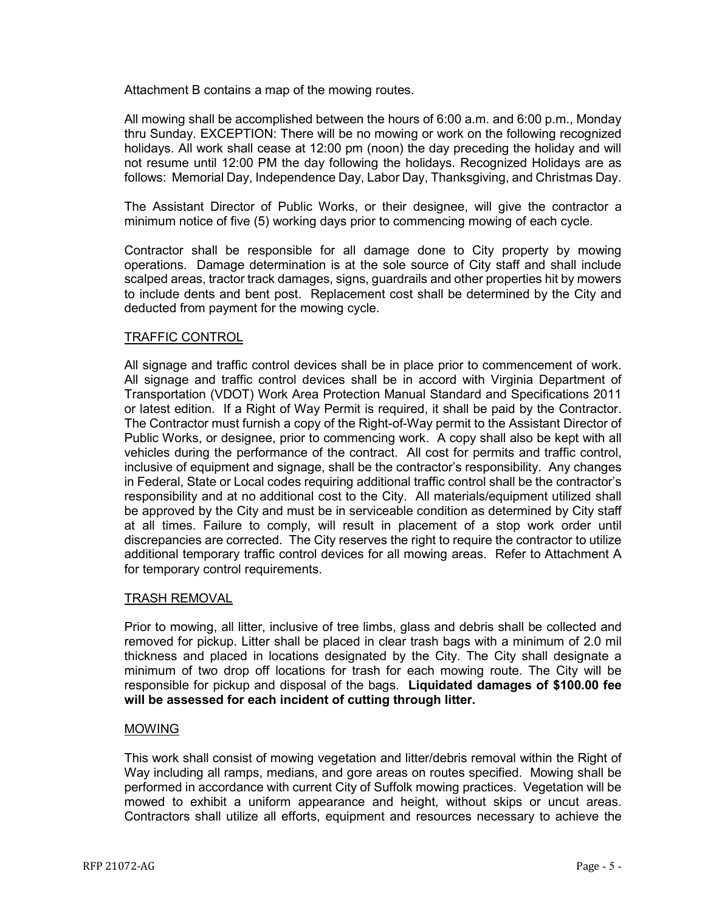Attachment B contains a map of the mowing routes.

All mowing shall be accomplished between the hours of 6:00 a.m. and 6:00 p.m., Monday thru Sunday. EXCEPTION: There will be no mowing or work on the following recognized holidays. All work shall cease at 12:00 pm (noon) the day preceding the holiday and will not resume until 12:00 PM the day following the holidays. Recognized Holidays are as follows: Memorial Day, Independence Day, Labor Day, Thanksgiving, and Christmas Day.

The Assistant Director of Public Works, or their designee, will give the contractor a minimum notice of five (5) working days prior to commencing mowing of each cycle.

Contractor shall be responsible for all damage done to City property by mowing operations. Damage determination is at the sole source of City staff and shall include scalped areas, tractor track damages, signs, guardrails and other properties hit by mowers to include dents and bent post. Replacement cost shall be determined by the City and deducted from payment for the mowing cycle.

## TRAFFIC CONTROL

All signage and traffic control devices shall be in place prior to commencement of work. All signage and traffic control devices shall be in accord with Virginia Department of Transportation (VDOT) Work Area Protection Manual Standard and Specifications 2011 or latest edition. If a Right of Way Permit is required, it shall be paid by the Contractor. The Contractor must furnish a copy of the Right-of-Way permit to the Assistant Director of Public Works, or designee, prior to commencing work. A copy shall also be kept with all vehicles during the performance of the contract. All cost for permits and traffic control, inclusive of equipment and signage, shall be the contractor's responsibility. Any changes in Federal, State or Local codes requiring additional traffic control shall be the contractor's responsibility and at no additional cost to the City. All materials/equipment utilized shall be approved by the City and must be in serviceable condition as determined by City staff at all times. Failure to comply, will result in placement of a stop work order until discrepancies are corrected. The City reserves the right to require the contractor to utilize additional temporary traffic control devices for all mowing areas. Refer to Attachment A for temporary control requirements.

## TRASH REMOVAL

Prior to mowing, all litter, inclusive of tree limbs, glass and debris shall be collected and removed for pickup. Litter shall be placed in clear trash bags with a minimum of 2.0 mil thickness and placed in locations designated by the City. The City shall designate a minimum of two drop off locations for trash for each mowing route. The City will be responsible for pickup and disposal of the bags. **Liquidated damages of \$100.00 fee will be assessed for each incident of cutting through litter.**

## MOWING

This work shall consist of mowing vegetation and litter/debris removal within the Right of Way including all ramps, medians, and gore areas on routes specified. Mowing shall be performed in accordance with current City of Suffolk mowing practices. Vegetation will be mowed to exhibit a uniform appearance and height, without skips or uncut areas. Contractors shall utilize all efforts, equipment and resources necessary to achieve the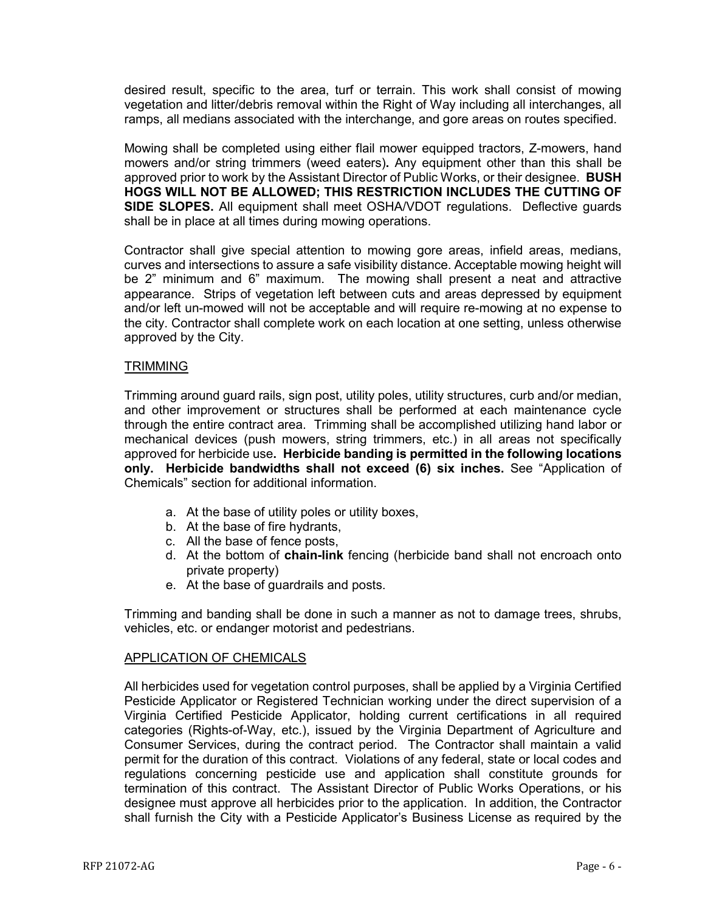desired result, specific to the area, turf or terrain. This work shall consist of mowing vegetation and litter/debris removal within the Right of Way including all interchanges, all ramps, all medians associated with the interchange, and gore areas on routes specified.

Mowing shall be completed using either flail mower equipped tractors, Z-mowers, hand mowers and/or string trimmers (weed eaters)**.** Any equipment other than this shall be approved prior to work by the Assistant Director of Public Works, or their designee. **BUSH HOGS WILL NOT BE ALLOWED; THIS RESTRICTION INCLUDES THE CUTTING OF SIDE SLOPES.** All equipment shall meet OSHA/VDOT regulations. Deflective guards shall be in place at all times during mowing operations.

Contractor shall give special attention to mowing gore areas, infield areas, medians, curves and intersections to assure a safe visibility distance. Acceptable mowing height will be 2" minimum and 6" maximum. The mowing shall present a neat and attractive appearance. Strips of vegetation left between cuts and areas depressed by equipment and/or left un-mowed will not be acceptable and will require re-mowing at no expense to the city. Contractor shall complete work on each location at one setting, unless otherwise approved by the City.

## **TRIMMING**

Trimming around guard rails, sign post, utility poles, utility structures, curb and/or median, and other improvement or structures shall be performed at each maintenance cycle through the entire contract area. Trimming shall be accomplished utilizing hand labor or mechanical devices (push mowers, string trimmers, etc.) in all areas not specifically approved for herbicide use**. Herbicide banding is permitted in the following locations only. Herbicide bandwidths shall not exceed (6) six inches.** See "Application of Chemicals" section for additional information.

- a. At the base of utility poles or utility boxes,
- b. At the base of fire hydrants,
- c. All the base of fence posts,
- d. At the bottom of **chain-link** fencing (herbicide band shall not encroach onto private property)
- e. At the base of guardrails and posts.

Trimming and banding shall be done in such a manner as not to damage trees, shrubs, vehicles, etc. or endanger motorist and pedestrians.

## APPLICATION OF CHEMICALS

All herbicides used for vegetation control purposes, shall be applied by a Virginia Certified Pesticide Applicator or Registered Technician working under the direct supervision of a Virginia Certified Pesticide Applicator, holding current certifications in all required categories (Rights-of-Way, etc.), issued by the Virginia Department of Agriculture and Consumer Services, during the contract period. The Contractor shall maintain a valid permit for the duration of this contract. Violations of any federal, state or local codes and regulations concerning pesticide use and application shall constitute grounds for termination of this contract. The Assistant Director of Public Works Operations, or his designee must approve all herbicides prior to the application. In addition, the Contractor shall furnish the City with a Pesticide Applicator's Business License as required by the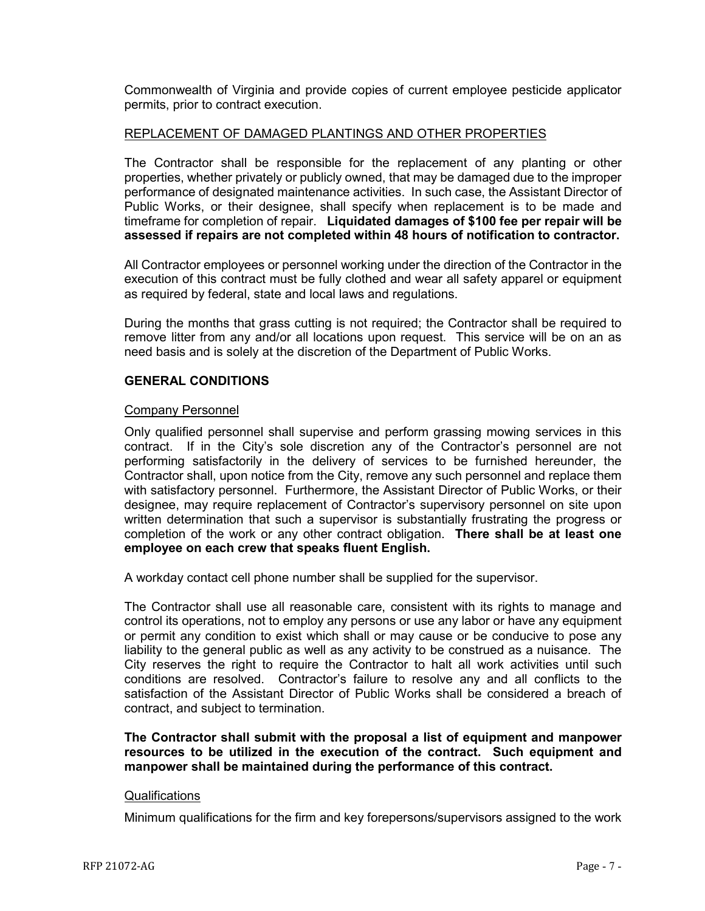Commonwealth of Virginia and provide copies of current employee pesticide applicator permits, prior to contract execution.

#### REPLACEMENT OF DAMAGED PLANTINGS AND OTHER PROPERTIES

The Contractor shall be responsible for the replacement of any planting or other properties, whether privately or publicly owned, that may be damaged due to the improper performance of designated maintenance activities. In such case, the Assistant Director of Public Works, or their designee, shall specify when replacement is to be made and timeframe for completion of repair. **Liquidated damages of \$100 fee per repair will be assessed if repairs are not completed within 48 hours of notification to contractor.**

All Contractor employees or personnel working under the direction of the Contractor in the execution of this contract must be fully clothed and wear all safety apparel or equipment as required by federal, state and local laws and regulations.

During the months that grass cutting is not required; the Contractor shall be required to remove litter from any and/or all locations upon request. This service will be on an as need basis and is solely at the discretion of the Department of Public Works.

## **GENERAL CONDITIONS**

## Company Personnel

Only qualified personnel shall supervise and perform grassing mowing services in this contract. If in the City's sole discretion any of the Contractor's personnel are not performing satisfactorily in the delivery of services to be furnished hereunder, the Contractor shall, upon notice from the City, remove any such personnel and replace them with satisfactory personnel. Furthermore, the Assistant Director of Public Works, or their designee, may require replacement of Contractor's supervisory personnel on site upon written determination that such a supervisor is substantially frustrating the progress or completion of the work or any other contract obligation. **There shall be at least one employee on each crew that speaks fluent English.**

A workday contact cell phone number shall be supplied for the supervisor.

The Contractor shall use all reasonable care, consistent with its rights to manage and control its operations, not to employ any persons or use any labor or have any equipment or permit any condition to exist which shall or may cause or be conducive to pose any liability to the general public as well as any activity to be construed as a nuisance. The City reserves the right to require the Contractor to halt all work activities until such conditions are resolved. Contractor's failure to resolve any and all conflicts to the satisfaction of the Assistant Director of Public Works shall be considered a breach of contract, and subject to termination.

**The Contractor shall submit with the proposal a list of equipment and manpower resources to be utilized in the execution of the contract. Such equipment and manpower shall be maintained during the performance of this contract.**

## **Qualifications**

Minimum qualifications for the firm and key forepersons/supervisors assigned to the work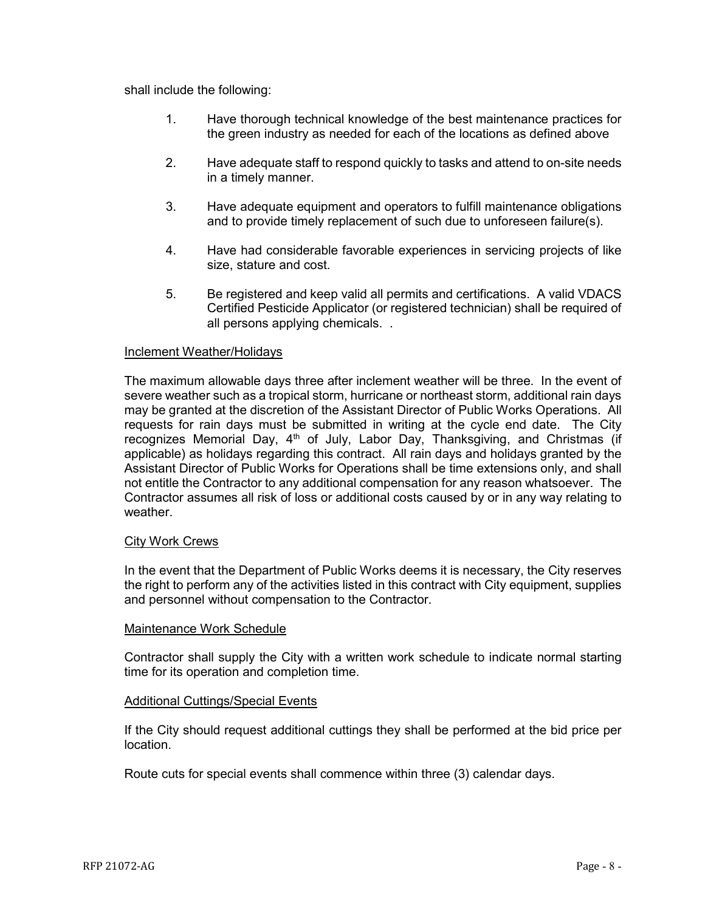shall include the following:

- 1. Have thorough technical knowledge of the best maintenance practices for the green industry as needed for each of the locations as defined above
- 2. Have adequate staff to respond quickly to tasks and attend to on-site needs in a timely manner.
- 3. Have adequate equipment and operators to fulfill maintenance obligations and to provide timely replacement of such due to unforeseen failure(s).
- 4. Have had considerable favorable experiences in servicing projects of like size, stature and cost.
- 5. Be registered and keep valid all permits and certifications. A valid VDACS Certified Pesticide Applicator (or registered technician) shall be required of all persons applying chemicals. .

## Inclement Weather/Holidays

The maximum allowable days three after inclement weather will be three. In the event of severe weather such as a tropical storm, hurricane or northeast storm, additional rain days may be granted at the discretion of the Assistant Director of Public Works Operations. All requests for rain days must be submitted in writing at the cycle end date. The City recognizes Memorial Day,  $4<sup>th</sup>$  of July, Labor Day, Thanksgiving, and Christmas (if applicable) as holidays regarding this contract. All rain days and holidays granted by the Assistant Director of Public Works for Operations shall be time extensions only, and shall not entitle the Contractor to any additional compensation for any reason whatsoever. The Contractor assumes all risk of loss or additional costs caused by or in any way relating to weather.

## City Work Crews

In the event that the Department of Public Works deems it is necessary, the City reserves the right to perform any of the activities listed in this contract with City equipment, supplies and personnel without compensation to the Contractor.

## Maintenance Work Schedule

Contractor shall supply the City with a written work schedule to indicate normal starting time for its operation and completion time.

## Additional Cuttings/Special Events

If the City should request additional cuttings they shall be performed at the bid price per location.

Route cuts for special events shall commence within three (3) calendar days.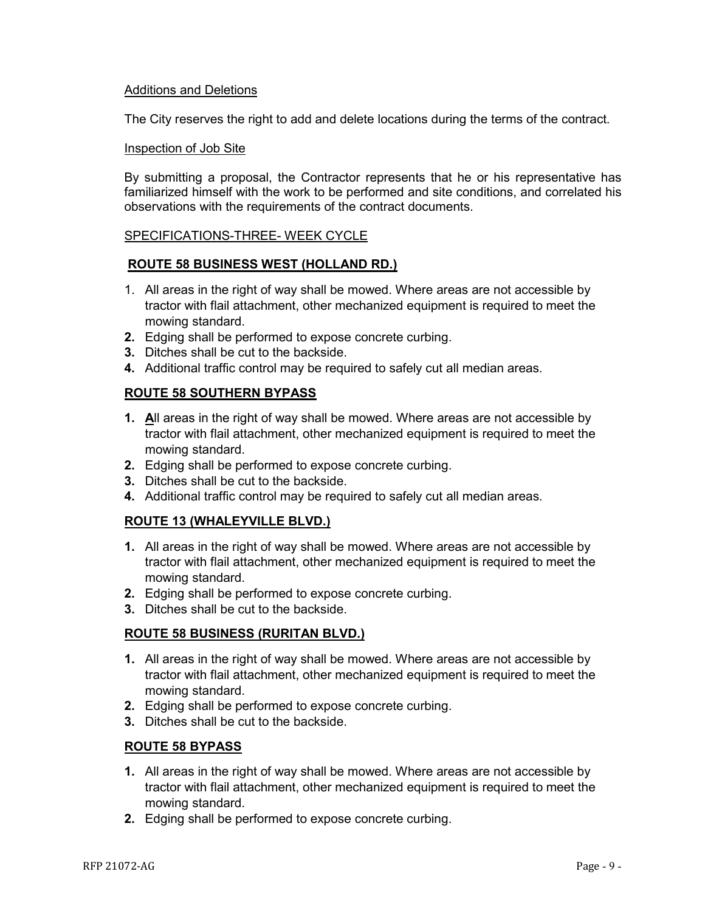## Additions and Deletions

The City reserves the right to add and delete locations during the terms of the contract.

## Inspection of Job Site

By submitting a proposal, the Contractor represents that he or his representative has familiarized himself with the work to be performed and site conditions, and correlated his observations with the requirements of the contract documents.

## SPECIFICATIONS-THREE- WEEK CYCLE

## **ROUTE 58 BUSINESS WEST (HOLLAND RD.)**

- 1. All areas in the right of way shall be mowed. Where areas are not accessible by tractor with flail attachment, other mechanized equipment is required to meet the mowing standard.
- **2.** Edging shall be performed to expose concrete curbing.
- **3.** Ditches shall be cut to the backside.
- **4.** Additional traffic control may be required to safely cut all median areas.

## **ROUTE 58 SOUTHERN BYPASS**

- **1. A**ll areas in the right of way shall be mowed. Where areas are not accessible by tractor with flail attachment, other mechanized equipment is required to meet the mowing standard.
- **2.** Edging shall be performed to expose concrete curbing.
- **3.** Ditches shall be cut to the backside.
- **4.** Additional traffic control may be required to safely cut all median areas.

## **ROUTE 13 (WHALEYVILLE BLVD.)**

- **1.** All areas in the right of way shall be mowed. Where areas are not accessible by tractor with flail attachment, other mechanized equipment is required to meet the mowing standard.
- **2.** Edging shall be performed to expose concrete curbing.
- **3.** Ditches shall be cut to the backside.

## **ROUTE 58 BUSINESS (RURITAN BLVD.)**

- **1.** All areas in the right of way shall be mowed. Where areas are not accessible by tractor with flail attachment, other mechanized equipment is required to meet the mowing standard.
- **2.** Edging shall be performed to expose concrete curbing.
- **3.** Ditches shall be cut to the backside.

## **ROUTE 58 BYPASS**

- **1.** All areas in the right of way shall be mowed. Where areas are not accessible by tractor with flail attachment, other mechanized equipment is required to meet the mowing standard.
- **2.** Edging shall be performed to expose concrete curbing.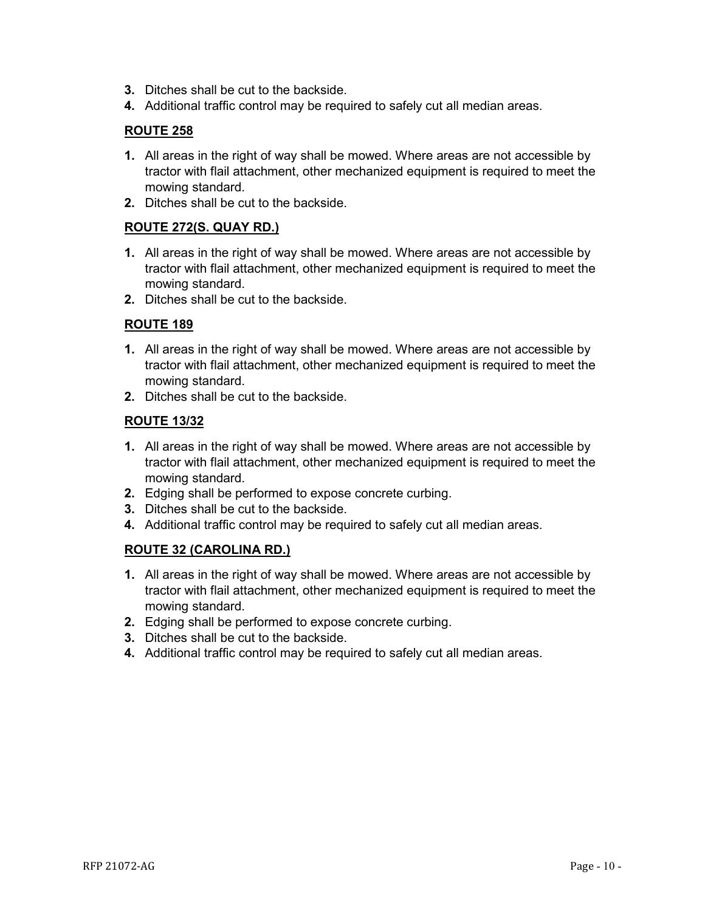- **3.** Ditches shall be cut to the backside.
- **4.** Additional traffic control may be required to safely cut all median areas.

## **ROUTE 258**

- **1.** All areas in the right of way shall be mowed. Where areas are not accessible by tractor with flail attachment, other mechanized equipment is required to meet the mowing standard.
- **2.** Ditches shall be cut to the backside.

## **ROUTE 272(S. QUAY RD.)**

- **1.** All areas in the right of way shall be mowed. Where areas are not accessible by tractor with flail attachment, other mechanized equipment is required to meet the mowing standard.
- **2.** Ditches shall be cut to the backside.

## **ROUTE 189**

- **1.** All areas in the right of way shall be mowed. Where areas are not accessible by tractor with flail attachment, other mechanized equipment is required to meet the mowing standard.
- **2.** Ditches shall be cut to the backside.

## **ROUTE 13/32**

- **1.** All areas in the right of way shall be mowed. Where areas are not accessible by tractor with flail attachment, other mechanized equipment is required to meet the mowing standard.
- **2.** Edging shall be performed to expose concrete curbing.
- **3.** Ditches shall be cut to the backside.
- **4.** Additional traffic control may be required to safely cut all median areas.

## **ROUTE 32 (CAROLINA RD.)**

- **1.** All areas in the right of way shall be mowed. Where areas are not accessible by tractor with flail attachment, other mechanized equipment is required to meet the mowing standard.
- **2.** Edging shall be performed to expose concrete curbing.
- **3.** Ditches shall be cut to the backside.
- **4.** Additional traffic control may be required to safely cut all median areas.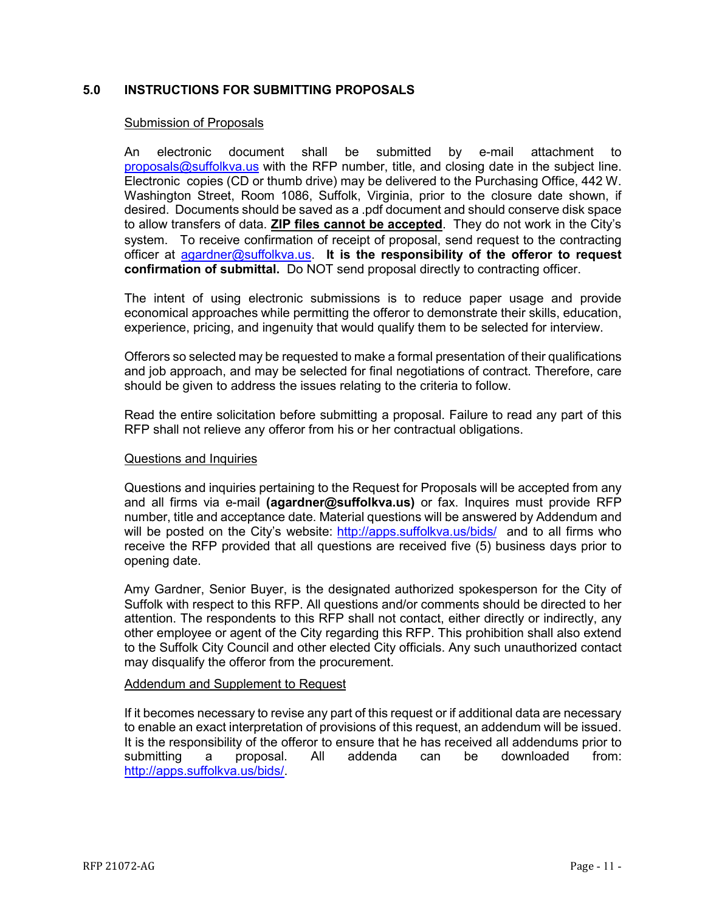## <span id="page-10-0"></span>**5.0 INSTRUCTIONS FOR SUBMITTING PROPOSALS**

#### Submission of Proposals

An electronic document shall be submitted by e-mail attachment to  $proposals@suffolkva.us$  with the RFP number, title, and closing date in the subject line. Electronic copies (CD or thumb drive) may be delivered to the Purchasing Office, 442 W. Washington Street, Room 1086, Suffolk, Virginia, prior to the closure date shown, if desired. Documents should be saved as a .pdf document and should conserve disk space to allow transfers of data. **ZIP files cannot be accepted**. They do not work in the City's system. To receive confirmation of receipt of proposal, send request to the contracting officer at [agardner@suffolkva.us.](mailto:agardner@suffolkva.us) **It is the responsibility of the offeror to request confirmation of submittal.** Do NOT send proposal directly to contracting officer.

The intent of using electronic submissions is to reduce paper usage and provide economical approaches while permitting the offeror to demonstrate their skills, education, experience, pricing, and ingenuity that would qualify them to be selected for interview.

Offerors so selected may be requested to make a formal presentation of their qualifications and job approach, and may be selected for final negotiations of contract. Therefore, care should be given to address the issues relating to the criteria to follow.

Read the entire solicitation before submitting a proposal. Failure to read any part of this RFP shall not relieve any offeror from his or her contractual obligations.

#### Questions and Inquiries

Questions and inquiries pertaining to the Request for Proposals will be accepted from any and all firms via e-mail **(agardner@suffolkva.us)** or fax. Inquires must provide RFP number, title and acceptance date. Material questions will be answered by Addendum and will be posted on the City's website: <http://apps.suffolkva.us/bids/>and to all firms who receive the RFP provided that all questions are received five (5) business days prior to opening date.

Amy Gardner, Senior Buyer, is the designated authorized spokesperson for the City of Suffolk with respect to this RFP. All questions and/or comments should be directed to her attention. The respondents to this RFP shall not contact, either directly or indirectly, any other employee or agent of the City regarding this RFP. This prohibition shall also extend to the Suffolk City Council and other elected City officials. Any such unauthorized contact may disqualify the offeror from the procurement.

#### Addendum and Supplement to Request

If it becomes necessary to revise any part of this request or if additional data are necessary to enable an exact interpretation of provisions of this request, an addendum will be issued. It is the responsibility of the offeror to ensure that he has received all addendums prior to submitting a proposal. All addenda can be downloaded from: [http://apps.suffolkva.us/bids/.](http://apps.suffolkva.us/bids/)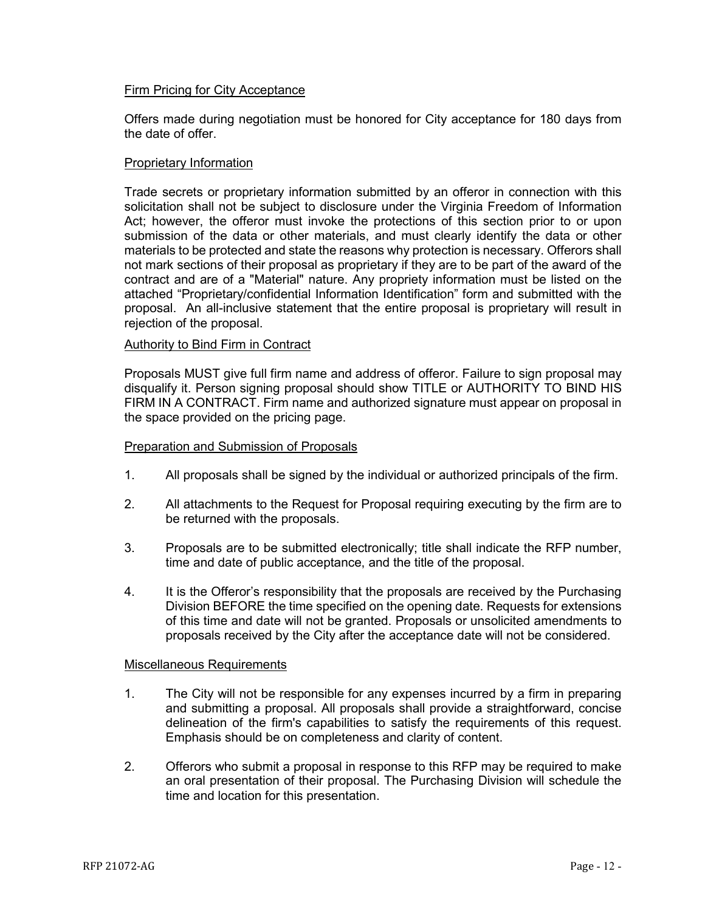## Firm Pricing for City Acceptance

Offers made during negotiation must be honored for City acceptance for 180 days from the date of offer.

## Proprietary Information

Trade secrets or proprietary information submitted by an offeror in connection with this solicitation shall not be subject to disclosure under the Virginia Freedom of Information Act; however, the offeror must invoke the protections of this section prior to or upon submission of the data or other materials, and must clearly identify the data or other materials to be protected and state the reasons why protection is necessary. Offerors shall not mark sections of their proposal as proprietary if they are to be part of the award of the contract and are of a "Material" nature. Any propriety information must be listed on the attached "Proprietary/confidential Information Identification" form and submitted with the proposal. An all-inclusive statement that the entire proposal is proprietary will result in rejection of the proposal.

## Authority to Bind Firm in Contract

Proposals MUST give full firm name and address of offeror. Failure to sign proposal may disqualify it. Person signing proposal should show TITLE or AUTHORITY TO BIND HIS FIRM IN A CONTRACT. Firm name and authorized signature must appear on proposal in the space provided on the pricing page.

## Preparation and Submission of Proposals

- 1. All proposals shall be signed by the individual or authorized principals of the firm.
- 2. All attachments to the Request for Proposal requiring executing by the firm are to be returned with the proposals.
- 3. Proposals are to be submitted electronically; title shall indicate the RFP number, time and date of public acceptance, and the title of the proposal.
- 4. It is the Offeror's responsibility that the proposals are received by the Purchasing Division BEFORE the time specified on the opening date. Requests for extensions of this time and date will not be granted. Proposals or unsolicited amendments to proposals received by the City after the acceptance date will not be considered.

## Miscellaneous Requirements

- 1. The City will not be responsible for any expenses incurred by a firm in preparing and submitting a proposal. All proposals shall provide a straightforward, concise delineation of the firm's capabilities to satisfy the requirements of this request. Emphasis should be on completeness and clarity of content.
- 2. Offerors who submit a proposal in response to this RFP may be required to make an oral presentation of their proposal. The Purchasing Division will schedule the time and location for this presentation.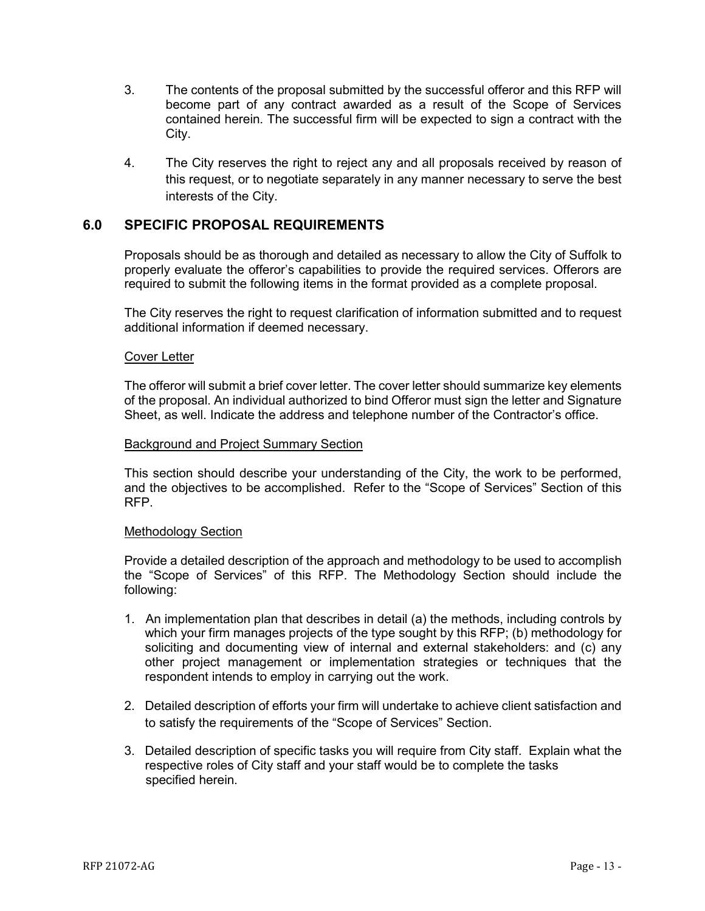- 3. The contents of the proposal submitted by the successful offeror and this RFP will become part of any contract awarded as a result of the Scope of Services contained herein. The successful firm will be expected to sign a contract with the City.
- 4. The City reserves the right to reject any and all proposals received by reason of this request, or to negotiate separately in any manner necessary to serve the best interests of the City.

## <span id="page-12-0"></span>**6.0 SPECIFIC PROPOSAL REQUIREMENTS**

Proposals should be as thorough and detailed as necessary to allow the City of Suffolk to properly evaluate the offeror's capabilities to provide the required services. Offerors are required to submit the following items in the format provided as a complete proposal.

The City reserves the right to request clarification of information submitted and to request additional information if deemed necessary.

## Cover Letter

The offeror will submit a brief cover letter. The cover letter should summarize key elements of the proposal. An individual authorized to bind Offeror must sign the letter and Signature Sheet, as well. Indicate the address and telephone number of the Contractor's office.

#### Background and Project Summary Section

This section should describe your understanding of the City, the work to be performed, and the objectives to be accomplished. Refer to the "Scope of Services" Section of this RFP.

## Methodology Section

Provide a detailed description of the approach and methodology to be used to accomplish the "Scope of Services" of this RFP. The Methodology Section should include the following:

- 1. An implementation plan that describes in detail (a) the methods, including controls by which your firm manages projects of the type sought by this RFP; (b) methodology for soliciting and documenting view of internal and external stakeholders: and (c) any other project management or implementation strategies or techniques that the respondent intends to employ in carrying out the work.
- 2. Detailed description of efforts your firm will undertake to achieve client satisfaction and to satisfy the requirements of the "Scope of Services" Section.
- 3. Detailed description of specific tasks you will require from City staff. Explain what the respective roles of City staff and your staff would be to complete the tasks specified herein.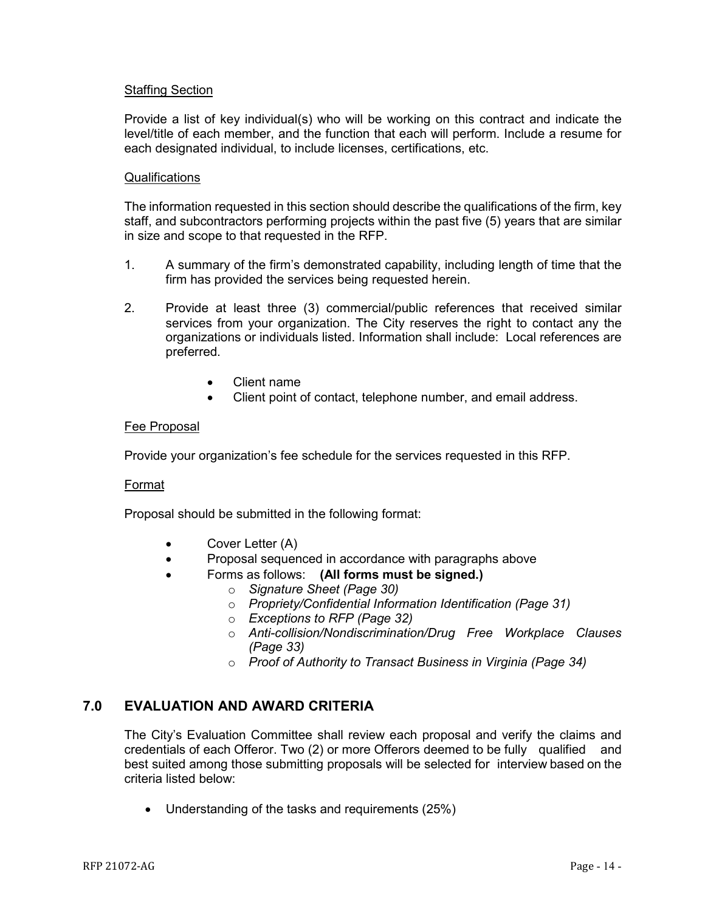## Staffing Section

Provide a list of key individual(s) who will be working on this contract and indicate the level/title of each member, and the function that each will perform. Include a resume for each designated individual, to include licenses, certifications, etc.

## **Qualifications**

The information requested in this section should describe the qualifications of the firm, key staff, and subcontractors performing projects within the past five (5) years that are similar in size and scope to that requested in the RFP.

- 1. A summary of the firm's demonstrated capability, including length of time that the firm has provided the services being requested herein.
- 2. Provide at least three (3) commercial/public references that received similar services from your organization. The City reserves the right to contact any the organizations or individuals listed. Information shall include: Local references are preferred.
	- Client name
	- Client point of contact, telephone number, and email address.

## Fee Proposal

Provide your organization's fee schedule for the services requested in this RFP.

## Format

Proposal should be submitted in the following format:

- Cover Letter (A)
- Proposal sequenced in accordance with paragraphs above
	- Forms as follows: **(All forms must be signed.)**
		- o *Signature Sheet (Page 30)*
		- o *Propriety/Confidential Information Identification (Page 31)*
		- o *Exceptions to RFP (Page 32)*
		- o *Anti-collision/Nondiscrimination/Drug Free Workplace Clauses (Page 33)*
		- o *Proof of Authority to Transact Business in Virginia (Page 34)*

## **7.0 EVALUATION AND AWARD CRITERIA**

The City's Evaluation Committee shall review each proposal and verify the claims and credentials of each Offeror. Two (2) or more Offerors deemed to be fully qualified and best suited among those submitting proposals will be selected for interview based on the criteria listed below:

• Understanding of the tasks and requirements (25%)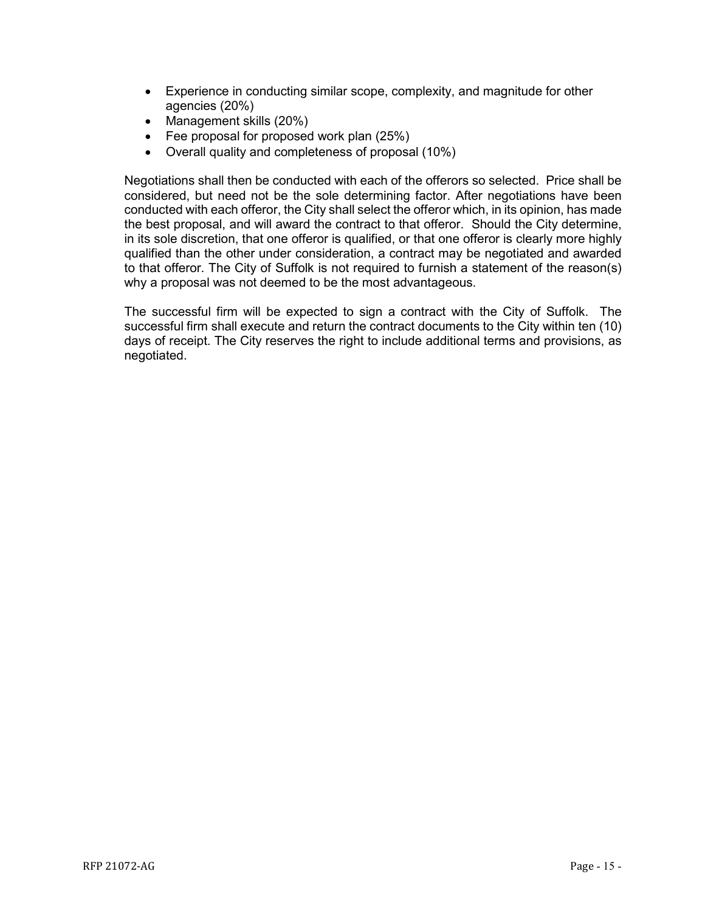- Experience in conducting similar scope, complexity, and magnitude for other agencies (20%)
- Management skills (20%)
- Fee proposal for proposed work plan (25%)
- Overall quality and completeness of proposal (10%)

Negotiations shall then be conducted with each of the offerors so selected. Price shall be considered, but need not be the sole determining factor. After negotiations have been conducted with each offeror, the City shall select the offeror which, in its opinion, has made the best proposal, and will award the contract to that offeror. Should the City determine, in its sole discretion, that one offeror is qualified, or that one offeror is clearly more highly qualified than the other under consideration, a contract may be negotiated and awarded to that offeror. The City of Suffolk is not required to furnish a statement of the reason(s) why a proposal was not deemed to be the most advantageous.

The successful firm will be expected to sign a contract with the City of Suffolk. The successful firm shall execute and return the contract documents to the City within ten (10) days of receipt. The City reserves the right to include additional terms and provisions, as negotiated.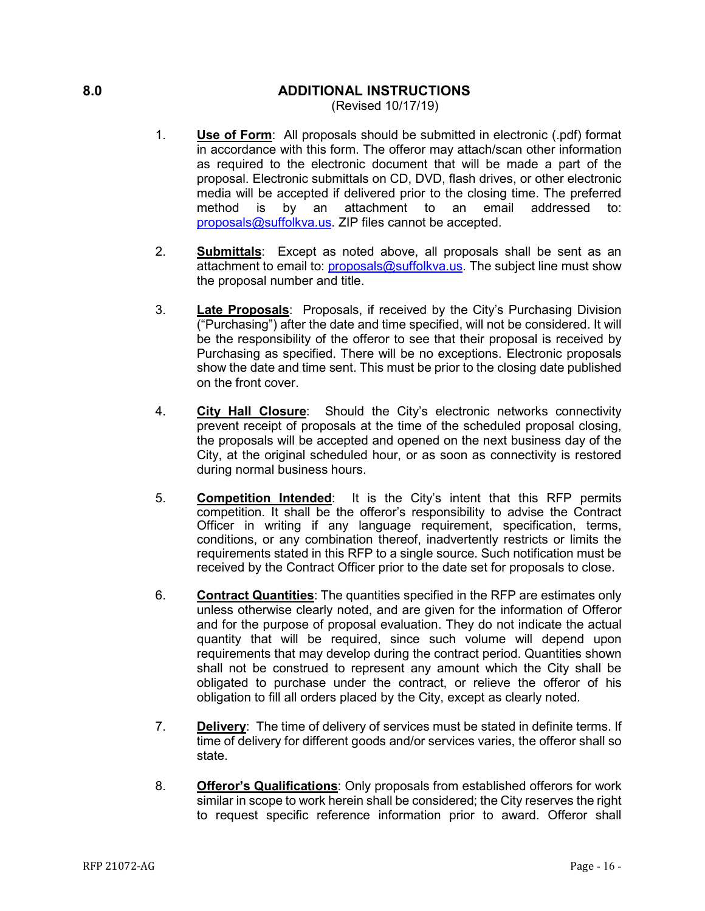## **8.0 ADDITIONAL INSTRUCTIONS**

<span id="page-15-0"></span>(Revised 10/17/19)

- 1. **Use of Form**: All proposals should be submitted in electronic (.pdf) format in accordance with this form. The offeror may attach/scan other information as required to the electronic document that will be made a part of the proposal. Electronic submittals on CD, DVD, flash drives, or other electronic media will be accepted if delivered prior to the closing time. The preferred method is by an attachment to an email addressed to: [proposals@suffolkva.us.](mailto:proposals@suffolkva.us) ZIP files cannot be accepted.
- 2. **Submittals**: Except as noted above, all proposals shall be sent as an attachment to email to: [proposals@suffolkva.us.](mailto:proposals@suffolkva.us) The subject line must show the proposal number and title.
- 3. **Late Proposals**: Proposals, if received by the City's Purchasing Division ("Purchasing") after the date and time specified, will not be considered. It will be the responsibility of the offeror to see that their proposal is received by Purchasing as specified. There will be no exceptions. Electronic proposals show the date and time sent. This must be prior to the closing date published on the front cover.
- 4. **City Hall Closure**: Should the City's electronic networks connectivity prevent receipt of proposals at the time of the scheduled proposal closing, the proposals will be accepted and opened on the next business day of the City, at the original scheduled hour, or as soon as connectivity is restored during normal business hours.
- 5. **Competition Intended**: It is the City's intent that this RFP permits competition. It shall be the offeror's responsibility to advise the Contract Officer in writing if any language requirement, specification, terms, conditions, or any combination thereof, inadvertently restricts or limits the requirements stated in this RFP to a single source. Such notification must be received by the Contract Officer prior to the date set for proposals to close.
- 6. **Contract Quantities**: The quantities specified in the RFP are estimates only unless otherwise clearly noted, and are given for the information of Offeror and for the purpose of proposal evaluation. They do not indicate the actual quantity that will be required, since such volume will depend upon requirements that may develop during the contract period. Quantities shown shall not be construed to represent any amount which the City shall be obligated to purchase under the contract, or relieve the offeror of his obligation to fill all orders placed by the City, except as clearly noted.
- 7. **Delivery**: The time of delivery of services must be stated in definite terms. If time of delivery for different goods and/or services varies, the offeror shall so state.
- 8. **Offeror's Qualifications**: Only proposals from established offerors for work similar in scope to work herein shall be considered; the City reserves the right to request specific reference information prior to award. Offeror shall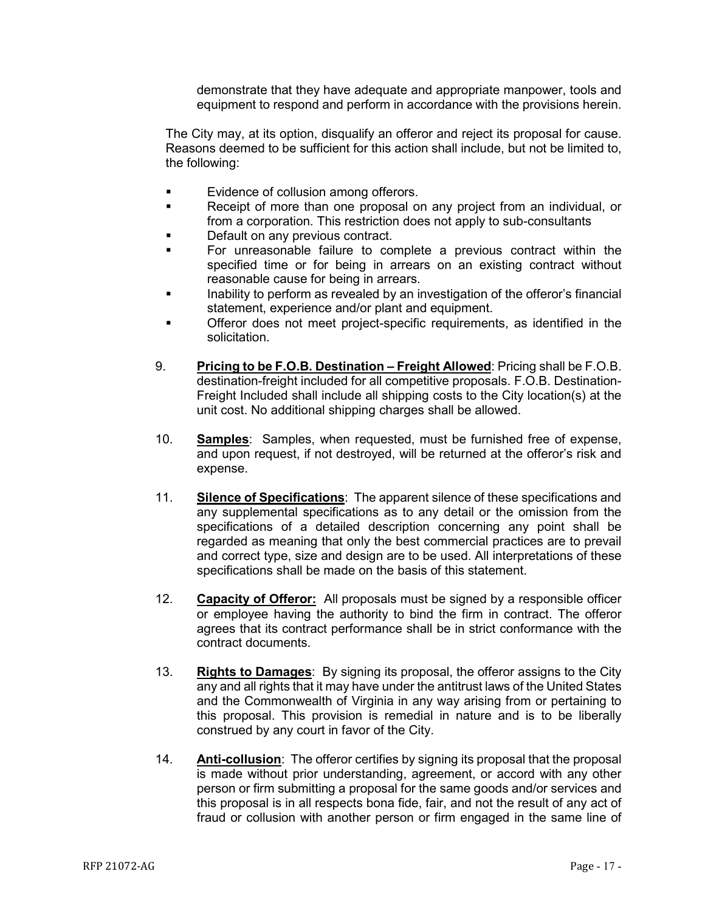demonstrate that they have adequate and appropriate manpower, tools and equipment to respond and perform in accordance with the provisions herein.

The City may, at its option, disqualify an offeror and reject its proposal for cause. Reasons deemed to be sufficient for this action shall include, but not be limited to, the following:

- **Exidence of collusion among offerors.**
- Receipt of more than one proposal on any project from an individual, or from a corporation. This restriction does not apply to sub-consultants
- Default on any previous contract.
- For unreasonable failure to complete a previous contract within the specified time or for being in arrears on an existing contract without reasonable cause for being in arrears.
- **Inability to perform as revealed by an investigation of the offeror's financial** statement, experience and/or plant and equipment.
- Offeror does not meet project-specific requirements, as identified in the solicitation.
- 9. **Pricing to be F.O.B. Destination – Freight Allowed**: Pricing shall be F.O.B. destination-freight included for all competitive proposals. F.O.B. Destination-Freight Included shall include all shipping costs to the City location(s) at the unit cost. No additional shipping charges shall be allowed.
- 10. **Samples**: Samples, when requested, must be furnished free of expense, and upon request, if not destroyed, will be returned at the offeror's risk and expense.
- 11. **Silence of Specifications**: The apparent silence of these specifications and any supplemental specifications as to any detail or the omission from the specifications of a detailed description concerning any point shall be regarded as meaning that only the best commercial practices are to prevail and correct type, size and design are to be used. All interpretations of these specifications shall be made on the basis of this statement.
- 12. **Capacity of Offeror:** All proposals must be signed by a responsible officer or employee having the authority to bind the firm in contract. The offeror agrees that its contract performance shall be in strict conformance with the contract documents.
- 13. **Rights to Damages**: By signing its proposal, the offeror assigns to the City any and all rights that it may have under the antitrust laws of the United States and the Commonwealth of Virginia in any way arising from or pertaining to this proposal. This provision is remedial in nature and is to be liberally construed by any court in favor of the City.
- 14. **Anti-collusion**: The offeror certifies by signing its proposal that the proposal is made without prior understanding, agreement, or accord with any other person or firm submitting a proposal for the same goods and/or services and this proposal is in all respects bona fide, fair, and not the result of any act of fraud or collusion with another person or firm engaged in the same line of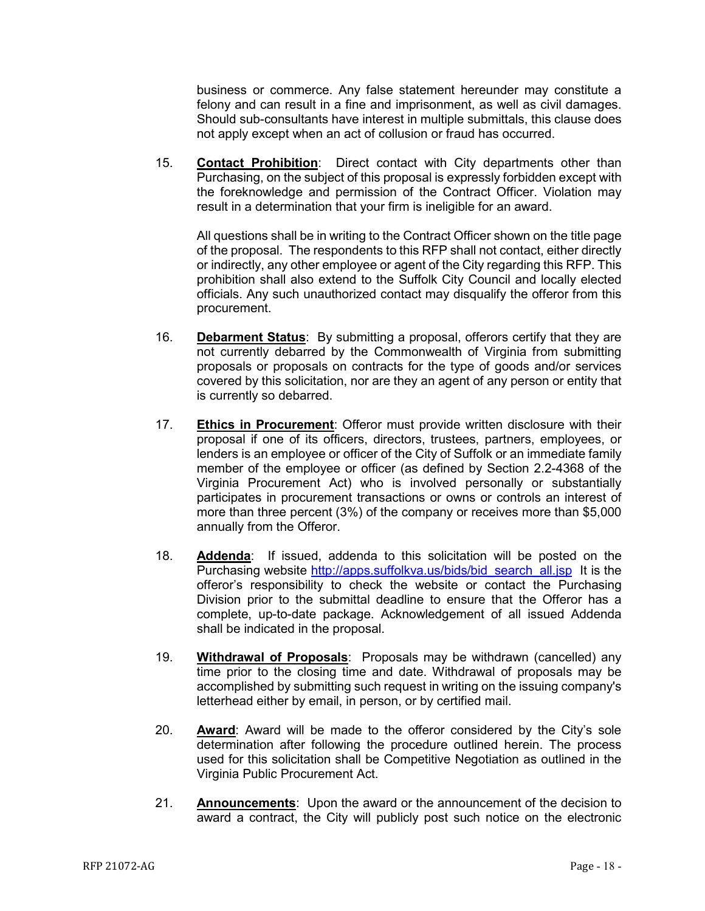business or commerce. Any false statement hereunder may constitute a felony and can result in a fine and imprisonment, as well as civil damages. Should sub-consultants have interest in multiple submittals, this clause does not apply except when an act of collusion or fraud has occurred.

15. **Contact Prohibition**: Direct contact with City departments other than Purchasing, on the subject of this proposal is expressly forbidden except with the foreknowledge and permission of the Contract Officer. Violation may result in a determination that your firm is ineligible for an award.

All questions shall be in writing to the Contract Officer shown on the title page of the proposal. The respondents to this RFP shall not contact, either directly or indirectly, any other employee or agent of the City regarding this RFP. This prohibition shall also extend to the Suffolk City Council and locally elected officials. Any such unauthorized contact may disqualify the offeror from this procurement.

- 16. **Debarment Status**: By submitting a proposal, offerors certify that they are not currently debarred by the Commonwealth of Virginia from submitting proposals or proposals on contracts for the type of goods and/or services covered by this solicitation, nor are they an agent of any person or entity that is currently so debarred.
- 17. **Ethics in Procurement**: Offeror must provide written disclosure with their proposal if one of its officers, directors, trustees, partners, employees, or lenders is an employee or officer of the City of Suffolk or an immediate family member of the employee or officer (as defined by Section 2.2-4368 of the Virginia Procurement Act) who is involved personally or substantially participates in procurement transactions or owns or controls an interest of more than three percent (3%) of the company or receives more than \$5,000 annually from the Offeror.
- 18. **Addenda**: If issued, addenda to this solicitation will be posted on the Purchasing website [http://apps.suffolkva.us/bids/bid\\_search\\_all.jsp](http://apps.suffolkva.us/bids/bid_search_all.jsp) It is the offeror's responsibility to check the website or contact the Purchasing Division prior to the submittal deadline to ensure that the Offeror has a complete, up-to-date package. Acknowledgement of all issued Addenda shall be indicated in the proposal.
- 19. **Withdrawal of Proposals**: Proposals may be withdrawn (cancelled) any time prior to the closing time and date. Withdrawal of proposals may be accomplished by submitting such request in writing on the issuing company's letterhead either by email, in person, or by certified mail.
- 20. **Award**: Award will be made to the offeror considered by the City's sole determination after following the procedure outlined herein. The process used for this solicitation shall be Competitive Negotiation as outlined in the Virginia Public Procurement Act.
- 21. **Announcements**: Upon the award or the announcement of the decision to award a contract, the City will publicly post such notice on the electronic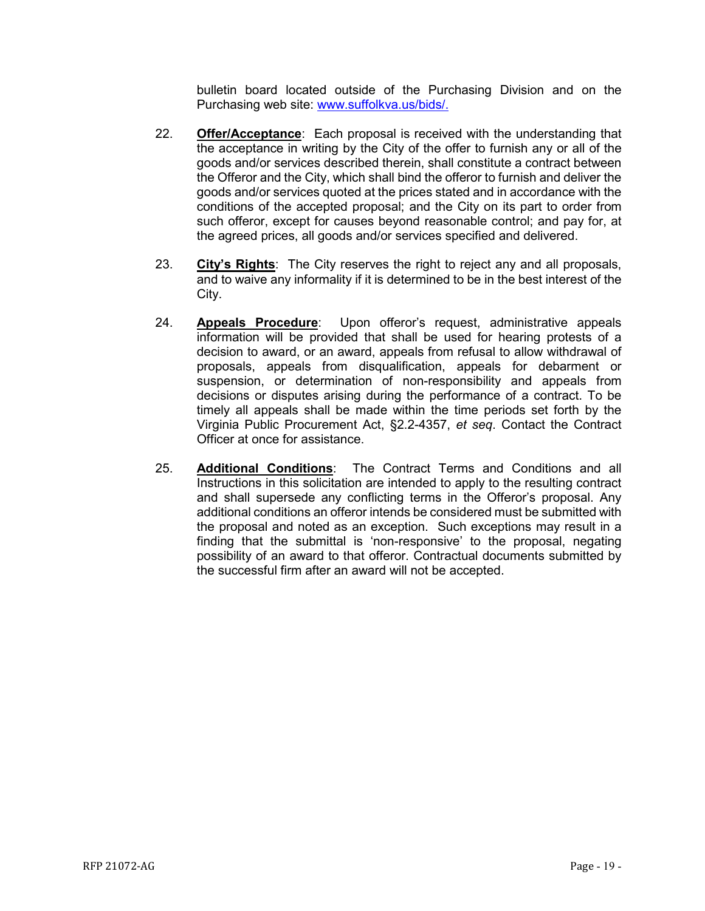bulletin board located outside of the Purchasing Division and on the Purchasing web site: [www.suffolkva.us/bids/.](http://www.suffolkva.us/bids/)

- 22. **Offer/Acceptance**: Each proposal is received with the understanding that the acceptance in writing by the City of the offer to furnish any or all of the goods and/or services described therein, shall constitute a contract between the Offeror and the City, which shall bind the offeror to furnish and deliver the goods and/or services quoted at the prices stated and in accordance with the conditions of the accepted proposal; and the City on its part to order from such offeror, except for causes beyond reasonable control; and pay for, at the agreed prices, all goods and/or services specified and delivered.
- 23. **City's Rights**: The City reserves the right to reject any and all proposals, and to waive any informality if it is determined to be in the best interest of the City.
- 24. **Appeals Procedure**: Upon offeror's request, administrative appeals information will be provided that shall be used for hearing protests of a decision to award, or an award, appeals from refusal to allow withdrawal of proposals, appeals from disqualification, appeals for debarment or suspension, or determination of non-responsibility and appeals from decisions or disputes arising during the performance of a contract. To be timely all appeals shall be made within the time periods set forth by the Virginia Public Procurement Act, §2.2-4357, *et seq*. Contact the Contract Officer at once for assistance.
- 25. **Additional Conditions**: The Contract Terms and Conditions and all Instructions in this solicitation are intended to apply to the resulting contract and shall supersede any conflicting terms in the Offeror's proposal. Any additional conditions an offeror intends be considered must be submitted with the proposal and noted as an exception. Such exceptions may result in a finding that the submittal is 'non-responsive' to the proposal, negating possibility of an award to that offeror. Contractual documents submitted by the successful firm after an award will not be accepted.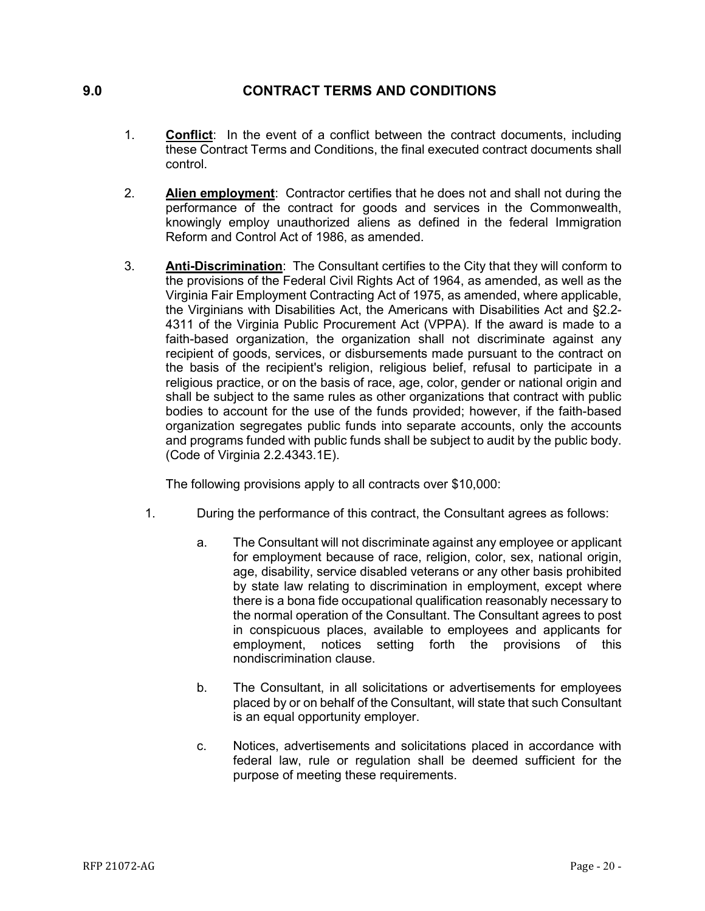## **9.0 CONTRACT TERMS AND CONDITIONS**

- <span id="page-19-0"></span>1. **Conflict**: In the event of a conflict between the contract documents, including these Contract Terms and Conditions, the final executed contract documents shall control.
- 2. **Alien employment**: Contractor certifies that he does not and shall not during the performance of the contract for goods and services in the Commonwealth, knowingly employ unauthorized aliens as defined in the federal Immigration Reform and Control Act of 1986, as amended.
- 3. **Anti-Discrimination**: The Consultant certifies to the City that they will conform to the provisions of the Federal Civil Rights Act of 1964, as amended, as well as the Virginia Fair Employment Contracting Act of 1975, as amended, where applicable, the Virginians with Disabilities Act, the Americans with Disabilities Act and §2.2- 4311 of the Virginia Public Procurement Act (VPPA). If the award is made to a faith-based organization, the organization shall not discriminate against any recipient of goods, services, or disbursements made pursuant to the contract on the basis of the recipient's religion, religious belief, refusal to participate in a religious practice, or on the basis of race, age, color, gender or national origin and shall be subject to the same rules as other organizations that contract with public bodies to account for the use of the funds provided; however, if the faith-based organization segregates public funds into separate accounts, only the accounts and programs funded with public funds shall be subject to audit by the public body. (Code of Virginia 2.2.4343.1E).

The following provisions apply to all contracts over \$10,000:

- 1. During the performance of this contract, the Consultant agrees as follows:
	- a. The Consultant will not discriminate against any employee or applicant for employment because of race, religion, color, sex, national origin, age, disability, service disabled veterans or any other basis prohibited by state law relating to discrimination in employment, except where there is a bona fide occupational qualification reasonably necessary to the normal operation of the Consultant. The Consultant agrees to post in conspicuous places, available to employees and applicants for employment, notices setting forth the provisions of this nondiscrimination clause.
	- b. The Consultant, in all solicitations or advertisements for employees placed by or on behalf of the Consultant, will state that such Consultant is an equal opportunity employer.
	- c. Notices, advertisements and solicitations placed in accordance with federal law, rule or regulation shall be deemed sufficient for the purpose of meeting these requirements.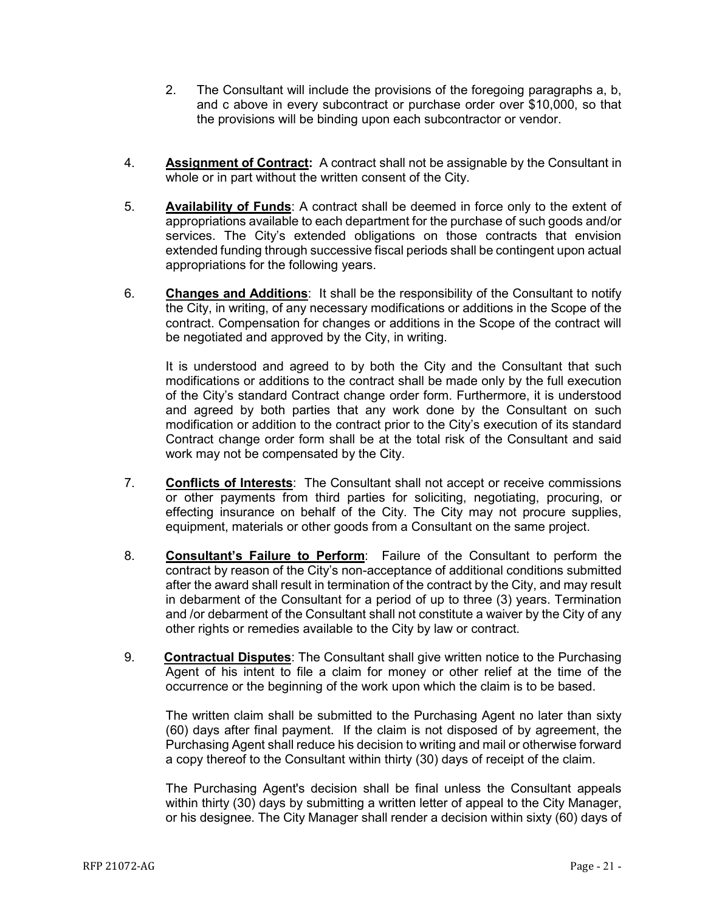- 2. The Consultant will include the provisions of the foregoing paragraphs a, b, and c above in every subcontract or purchase order over \$10,000, so that the provisions will be binding upon each subcontractor or vendor.
- 4. **Assignment of Contract:** A contract shall not be assignable by the Consultant in whole or in part without the written consent of the City.
- 5. **Availability of Funds**: A contract shall be deemed in force only to the extent of appropriations available to each department for the purchase of such goods and/or services. The City's extended obligations on those contracts that envision extended funding through successive fiscal periods shall be contingent upon actual appropriations for the following years.
- 6. **Changes and Additions**: It shall be the responsibility of the Consultant to notify the City, in writing, of any necessary modifications or additions in the Scope of the contract. Compensation for changes or additions in the Scope of the contract will be negotiated and approved by the City, in writing.

It is understood and agreed to by both the City and the Consultant that such modifications or additions to the contract shall be made only by the full execution of the City's standard Contract change order form. Furthermore, it is understood and agreed by both parties that any work done by the Consultant on such modification or addition to the contract prior to the City's execution of its standard Contract change order form shall be at the total risk of the Consultant and said work may not be compensated by the City.

- 7. **Conflicts of Interests**: The Consultant shall not accept or receive commissions or other payments from third parties for soliciting, negotiating, procuring, or effecting insurance on behalf of the City. The City may not procure supplies, equipment, materials or other goods from a Consultant on the same project.
- 8. **Consultant's Failure to Perform**: Failure of the Consultant to perform the contract by reason of the City's non-acceptance of additional conditions submitted after the award shall result in termination of the contract by the City, and may result in debarment of the Consultant for a period of up to three (3) years. Termination and /or debarment of the Consultant shall not constitute a waiver by the City of any other rights or remedies available to the City by law or contract.
- 9. **Contractual Disputes**: The Consultant shall give written notice to the Purchasing Agent of his intent to file a claim for money or other relief at the time of the occurrence or the beginning of the work upon which the claim is to be based.

The written claim shall be submitted to the Purchasing Agent no later than sixty (60) days after final payment. If the claim is not disposed of by agreement, the Purchasing Agent shall reduce his decision to writing and mail or otherwise forward a copy thereof to the Consultant within thirty (30) days of receipt of the claim.

The Purchasing Agent's decision shall be final unless the Consultant appeals within thirty (30) days by submitting a written letter of appeal to the City Manager, or his designee. The City Manager shall render a decision within sixty (60) days of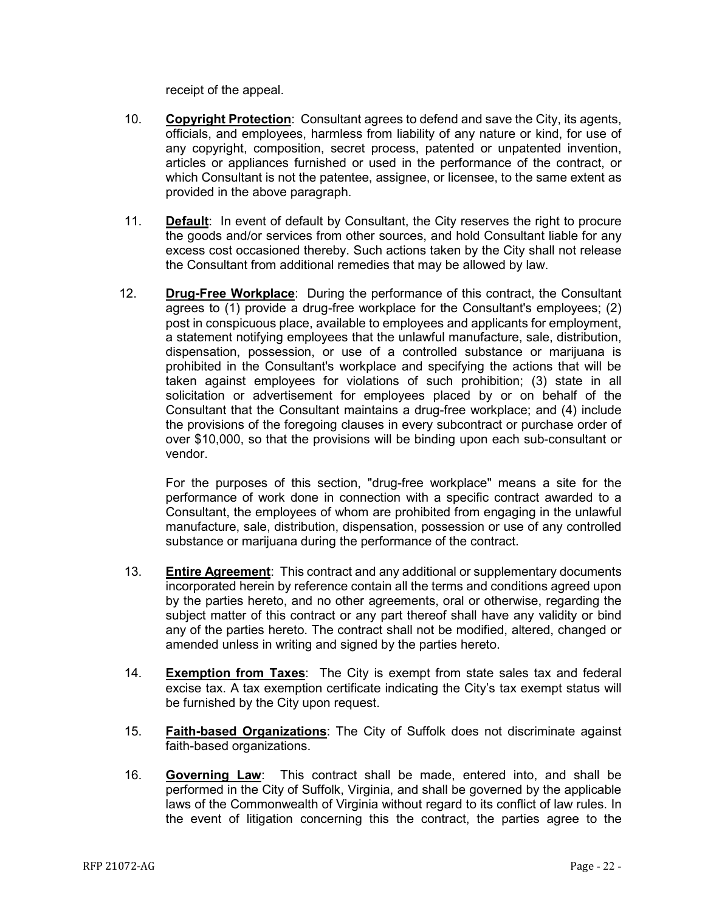receipt of the appeal.

- 10. **Copyright Protection**: Consultant agrees to defend and save the City, its agents, officials, and employees, harmless from liability of any nature or kind, for use of any copyright, composition, secret process, patented or unpatented invention, articles or appliances furnished or used in the performance of the contract, or which Consultant is not the patentee, assignee, or licensee, to the same extent as provided in the above paragraph.
- 11. **Default**: In event of default by Consultant, the City reserves the right to procure the goods and/or services from other sources, and hold Consultant liable for any excess cost occasioned thereby. Such actions taken by the City shall not release the Consultant from additional remedies that may be allowed by law.
- 12. **Drug-Free Workplace**: During the performance of this contract, the Consultant agrees to (1) provide a drug-free workplace for the Consultant's employees; (2) post in conspicuous place, available to employees and applicants for employment, a statement notifying employees that the unlawful manufacture, sale, distribution, dispensation, possession, or use of a controlled substance or marijuana is prohibited in the Consultant's workplace and specifying the actions that will be taken against employees for violations of such prohibition; (3) state in all solicitation or advertisement for employees placed by or on behalf of the Consultant that the Consultant maintains a drug-free workplace; and (4) include the provisions of the foregoing clauses in every subcontract or purchase order of over \$10,000, so that the provisions will be binding upon each sub-consultant or vendor.

For the purposes of this section, "drug-free workplace" means a site for the performance of work done in connection with a specific contract awarded to a Consultant, the employees of whom are prohibited from engaging in the unlawful manufacture, sale, distribution, dispensation, possession or use of any controlled substance or marijuana during the performance of the contract.

- 13. **Entire Agreement**: This contract and any additional or supplementary documents incorporated herein by reference contain all the terms and conditions agreed upon by the parties hereto, and no other agreements, oral or otherwise, regarding the subject matter of this contract or any part thereof shall have any validity or bind any of the parties hereto. The contract shall not be modified, altered, changed or amended unless in writing and signed by the parties hereto.
- 14. **Exemption from Taxes**: The City is exempt from state sales tax and federal excise tax. A tax exemption certificate indicating the City's tax exempt status will be furnished by the City upon request.
- 15. **Faith-based Organizations**: The City of Suffolk does not discriminate against faith-based organizations.
- 16. **Governing Law**: This contract shall be made, entered into, and shall be performed in the City of Suffolk, Virginia, and shall be governed by the applicable laws of the Commonwealth of Virginia without regard to its conflict of law rules. In the event of litigation concerning this the contract, the parties agree to the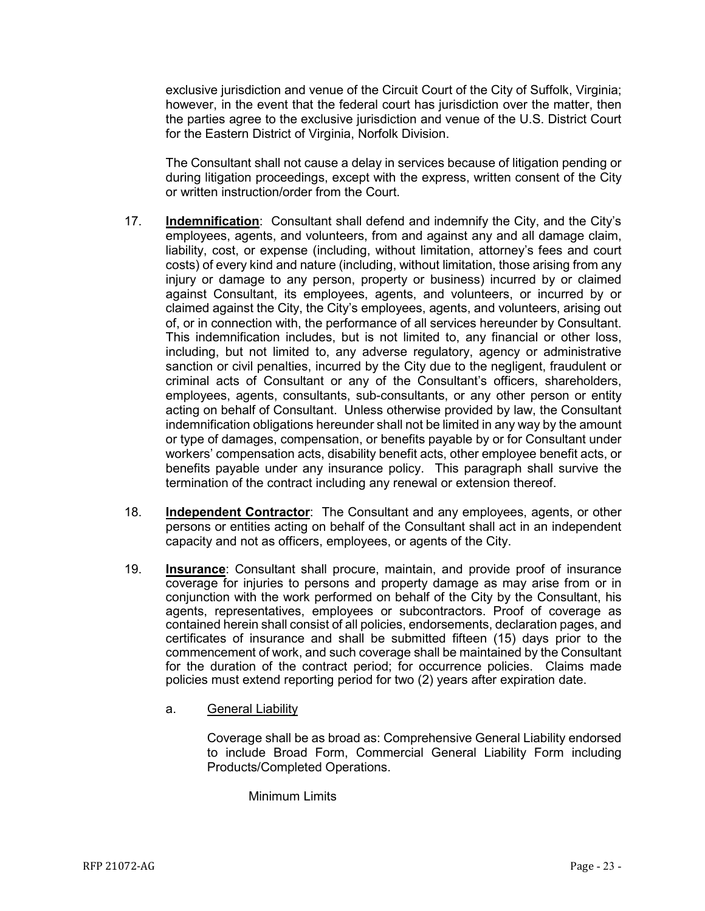exclusive jurisdiction and venue of the Circuit Court of the City of Suffolk, Virginia; however, in the event that the federal court has jurisdiction over the matter, then the parties agree to the exclusive jurisdiction and venue of the U.S. District Court for the Eastern District of Virginia, Norfolk Division.

The Consultant shall not cause a delay in services because of litigation pending or during litigation proceedings, except with the express, written consent of the City or written instruction/order from the Court.

- 17. **Indemnification**: Consultant shall defend and indemnify the City, and the City's employees, agents, and volunteers, from and against any and all damage claim, liability, cost, or expense (including, without limitation, attorney's fees and court costs) of every kind and nature (including, without limitation, those arising from any injury or damage to any person, property or business) incurred by or claimed against Consultant, its employees, agents, and volunteers, or incurred by or claimed against the City, the City's employees, agents, and volunteers, arising out of, or in connection with, the performance of all services hereunder by Consultant. This indemnification includes, but is not limited to, any financial or other loss, including, but not limited to, any adverse regulatory, agency or administrative sanction or civil penalties, incurred by the City due to the negligent, fraudulent or criminal acts of Consultant or any of the Consultant's officers, shareholders, employees, agents, consultants, sub-consultants, or any other person or entity acting on behalf of Consultant. Unless otherwise provided by law, the Consultant indemnification obligations hereunder shall not be limited in any way by the amount or type of damages, compensation, or benefits payable by or for Consultant under workers' compensation acts, disability benefit acts, other employee benefit acts, or benefits payable under any insurance policy. This paragraph shall survive the termination of the contract including any renewal or extension thereof.
- 18. **Independent Contractor**: The Consultant and any employees, agents, or other persons or entities acting on behalf of the Consultant shall act in an independent capacity and not as officers, employees, or agents of the City.
- 19. **Insurance**: Consultant shall procure, maintain, and provide proof of insurance coverage for injuries to persons and property damage as may arise from or in conjunction with the work performed on behalf of the City by the Consultant, his agents, representatives, employees or subcontractors. Proof of coverage as contained herein shall consist of all policies, endorsements, declaration pages, and certificates of insurance and shall be submitted fifteen (15) days prior to the commencement of work, and such coverage shall be maintained by the Consultant for the duration of the contract period; for occurrence policies. Claims made policies must extend reporting period for two (2) years after expiration date.
	- a. General Liability

Coverage shall be as broad as: Comprehensive General Liability endorsed to include Broad Form, Commercial General Liability Form including Products/Completed Operations.

Minimum Limits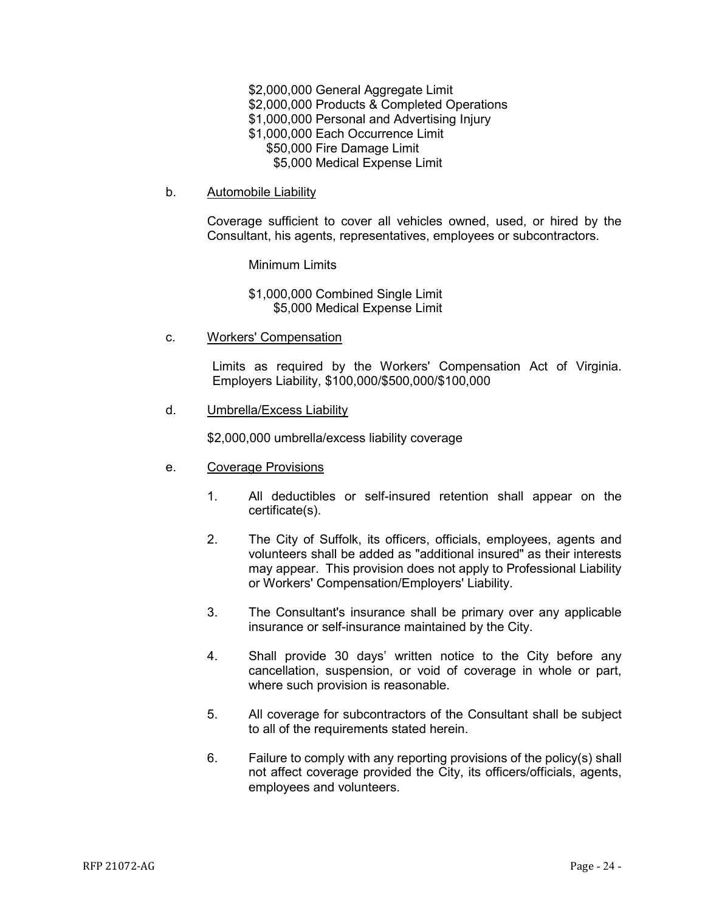- \$2,000,000 General Aggregate Limit
- \$2,000,000 Products & Completed Operations
- \$1,000,000 Personal and Advertising Injury
- \$1,000,000 Each Occurrence Limit
	- \$50,000 Fire Damage Limit
		- \$5,000 Medical Expense Limit
- b. Automobile Liability

Coverage sufficient to cover all vehicles owned, used, or hired by the Consultant, his agents, representatives, employees or subcontractors.

Minimum Limits

\$1,000,000 Combined Single Limit \$5,000 Medical Expense Limit

c. Workers' Compensation

Limits as required by the Workers' Compensation Act of Virginia. Employers Liability, \$100,000/\$500,000/\$100,000

d. Umbrella/Excess Liability

\$2,000,000 umbrella/excess liability coverage

- e. Coverage Provisions
	- 1. All deductibles or self-insured retention shall appear on the certificate(s).
	- 2. The City of Suffolk, its officers, officials, employees, agents and volunteers shall be added as "additional insured" as their interests may appear. This provision does not apply to Professional Liability or Workers' Compensation/Employers' Liability.
	- 3. The Consultant's insurance shall be primary over any applicable insurance or self-insurance maintained by the City.
	- 4. Shall provide 30 days' written notice to the City before any cancellation, suspension, or void of coverage in whole or part, where such provision is reasonable.
	- 5. All coverage for subcontractors of the Consultant shall be subject to all of the requirements stated herein.
	- 6. Failure to comply with any reporting provisions of the policy(s) shall not affect coverage provided the City, its officers/officials, agents, employees and volunteers.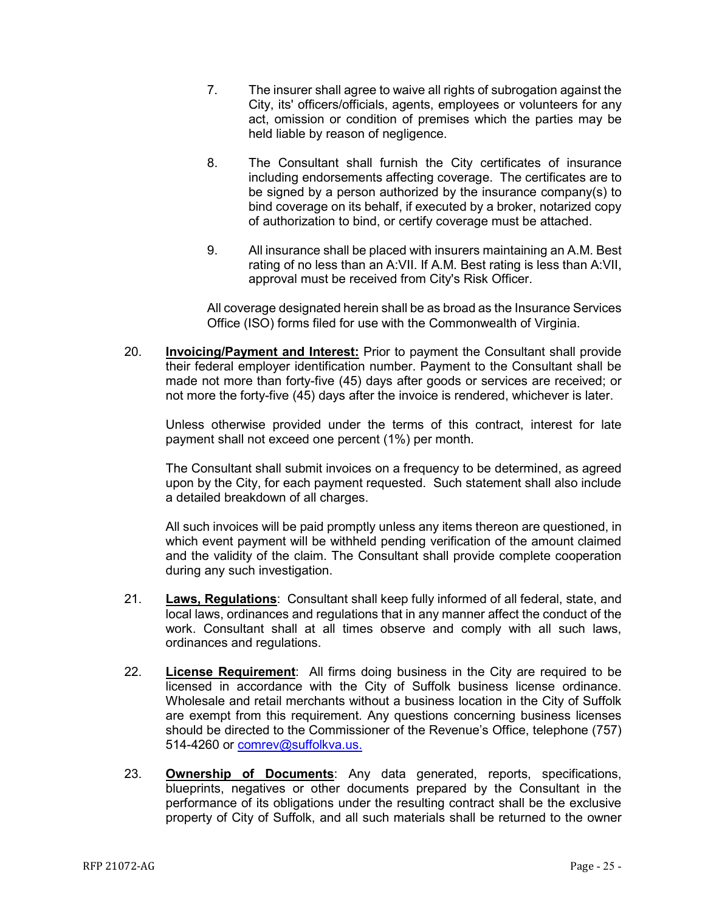- 7. The insurer shall agree to waive all rights of subrogation against the City, its' officers/officials, agents, employees or volunteers for any act, omission or condition of premises which the parties may be held liable by reason of negligence.
- 8. The Consultant shall furnish the City certificates of insurance including endorsements affecting coverage. The certificates are to be signed by a person authorized by the insurance company(s) to bind coverage on its behalf, if executed by a broker, notarized copy of authorization to bind, or certify coverage must be attached.
- 9. All insurance shall be placed with insurers maintaining an A.M. Best rating of no less than an A:VII. If A.M. Best rating is less than A:VII, approval must be received from City's Risk Officer.

All coverage designated herein shall be as broad as the Insurance Services Office (ISO) forms filed for use with the Commonwealth of Virginia.

20. **Invoicing/Payment and Interest:** Prior to payment the Consultant shall provide their federal employer identification number. Payment to the Consultant shall be made not more than forty-five (45) days after goods or services are received; or not more the forty-five (45) days after the invoice is rendered, whichever is later.

Unless otherwise provided under the terms of this contract, interest for late payment shall not exceed one percent (1%) per month.

The Consultant shall submit invoices on a frequency to be determined, as agreed upon by the City, for each payment requested. Such statement shall also include a detailed breakdown of all charges.

All such invoices will be paid promptly unless any items thereon are questioned, in which event payment will be withheld pending verification of the amount claimed and the validity of the claim. The Consultant shall provide complete cooperation during any such investigation.

- 21. **Laws, Regulations**: Consultant shall keep fully informed of all federal, state, and local laws, ordinances and regulations that in any manner affect the conduct of the work. Consultant shall at all times observe and comply with all such laws, ordinances and regulations.
- 22. **License Requirement**: All firms doing business in the City are required to be licensed in accordance with the City of Suffolk business license ordinance. Wholesale and retail merchants without a business location in the City of Suffolk are exempt from this requirement. Any questions concerning business licenses should be directed to the Commissioner of the Revenue's Office, telephone (757) 514-4260 or [comrev@suffolkva.us.](mailto:comrev@suffolkva.us)
- 23. **Ownership of Documents**: Any data generated, reports, specifications, blueprints, negatives or other documents prepared by the Consultant in the performance of its obligations under the resulting contract shall be the exclusive property of City of Suffolk, and all such materials shall be returned to the owner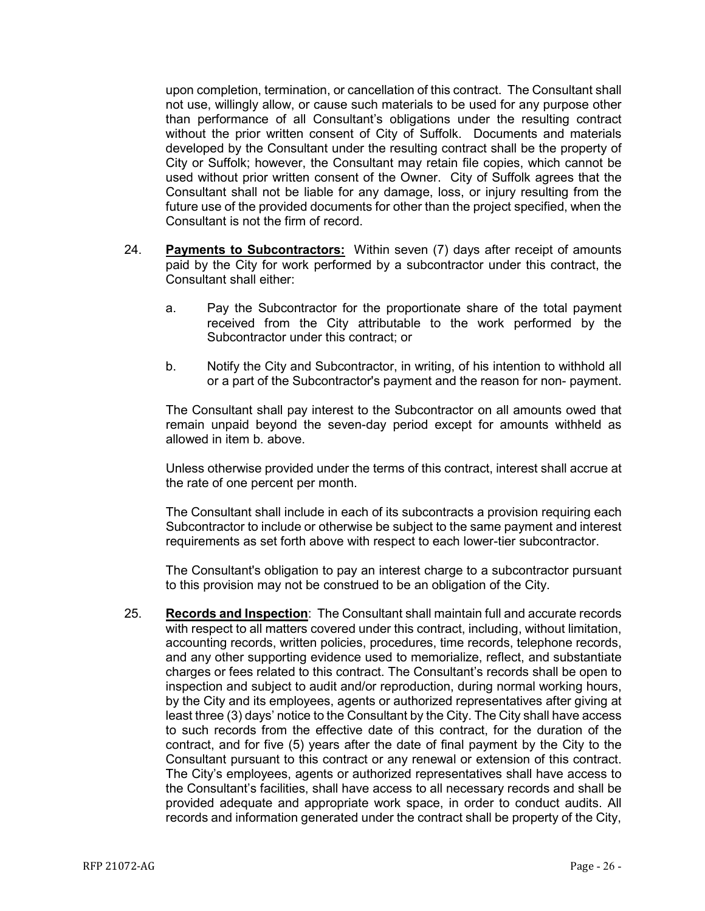upon completion, termination, or cancellation of this contract. The Consultant shall not use, willingly allow, or cause such materials to be used for any purpose other than performance of all Consultant's obligations under the resulting contract without the prior written consent of City of Suffolk. Documents and materials developed by the Consultant under the resulting contract shall be the property of City or Suffolk; however, the Consultant may retain file copies, which cannot be used without prior written consent of the Owner. City of Suffolk agrees that the Consultant shall not be liable for any damage, loss, or injury resulting from the future use of the provided documents for other than the project specified, when the Consultant is not the firm of record.

- 24. **Payments to Subcontractors:** Within seven (7) days after receipt of amounts paid by the City for work performed by a subcontractor under this contract, the Consultant shall either:
	- a. Pay the Subcontractor for the proportionate share of the total payment received from the City attributable to the work performed by the Subcontractor under this contract; or
	- b. Notify the City and Subcontractor, in writing, of his intention to withhold all or a part of the Subcontractor's payment and the reason for non- payment.

The Consultant shall pay interest to the Subcontractor on all amounts owed that remain unpaid beyond the seven-day period except for amounts withheld as allowed in item b. above.

Unless otherwise provided under the terms of this contract, interest shall accrue at the rate of one percent per month.

The Consultant shall include in each of its subcontracts a provision requiring each Subcontractor to include or otherwise be subject to the same payment and interest requirements as set forth above with respect to each lower-tier subcontractor.

The Consultant's obligation to pay an interest charge to a subcontractor pursuant to this provision may not be construed to be an obligation of the City.

25. **Records and Inspection**: The Consultant shall maintain full and accurate records with respect to all matters covered under this contract, including, without limitation, accounting records, written policies, procedures, time records, telephone records, and any other supporting evidence used to memorialize, reflect, and substantiate charges or fees related to this contract. The Consultant's records shall be open to inspection and subject to audit and/or reproduction, during normal working hours, by the City and its employees, agents or authorized representatives after giving at least three (3) days' notice to the Consultant by the City. The City shall have access to such records from the effective date of this contract, for the duration of the contract, and for five (5) years after the date of final payment by the City to the Consultant pursuant to this contract or any renewal or extension of this contract. The City's employees, agents or authorized representatives shall have access to the Consultant's facilities, shall have access to all necessary records and shall be provided adequate and appropriate work space, in order to conduct audits. All records and information generated under the contract shall be property of the City,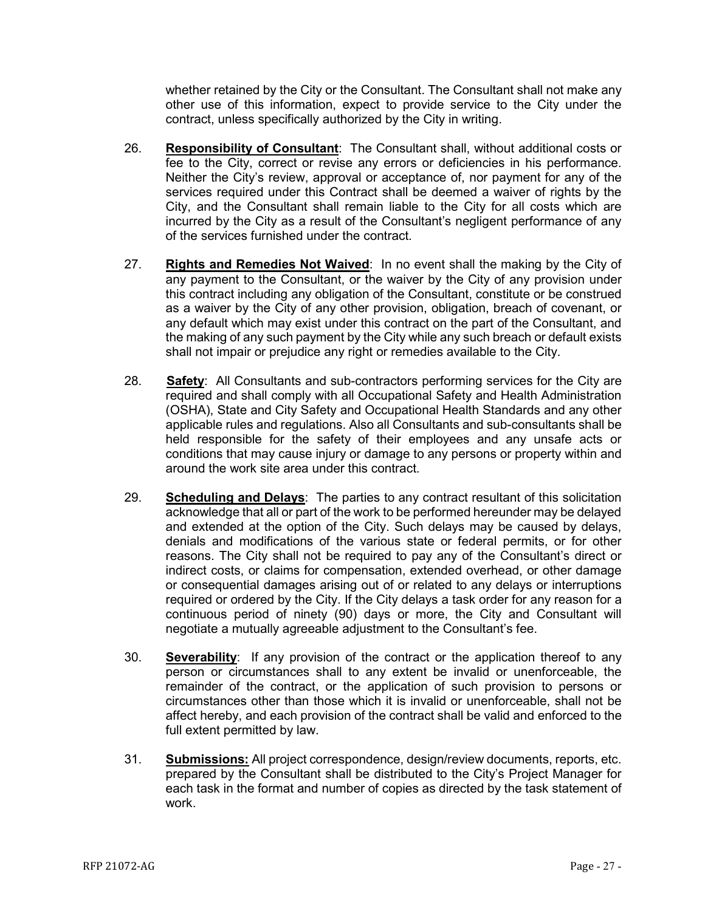whether retained by the City or the Consultant. The Consultant shall not make any other use of this information, expect to provide service to the City under the contract, unless specifically authorized by the City in writing.

- 26. **Responsibility of Consultant**: The Consultant shall, without additional costs or fee to the City, correct or revise any errors or deficiencies in his performance. Neither the City's review, approval or acceptance of, nor payment for any of the services required under this Contract shall be deemed a waiver of rights by the City, and the Consultant shall remain liable to the City for all costs which are incurred by the City as a result of the Consultant's negligent performance of any of the services furnished under the contract.
- 27. **Rights and Remedies Not Waived**: In no event shall the making by the City of any payment to the Consultant, or the waiver by the City of any provision under this contract including any obligation of the Consultant, constitute or be construed as a waiver by the City of any other provision, obligation, breach of covenant, or any default which may exist under this contract on the part of the Consultant, and the making of any such payment by the City while any such breach or default exists shall not impair or prejudice any right or remedies available to the City.
- 28. **Safety**: All Consultants and sub-contractors performing services for the City are required and shall comply with all Occupational Safety and Health Administration (OSHA), State and City Safety and Occupational Health Standards and any other applicable rules and regulations. Also all Consultants and sub-consultants shall be held responsible for the safety of their employees and any unsafe acts or conditions that may cause injury or damage to any persons or property within and around the work site area under this contract.
- 29. **Scheduling and Delays**: The parties to any contract resultant of this solicitation acknowledge that all or part of the work to be performed hereunder may be delayed and extended at the option of the City. Such delays may be caused by delays, denials and modifications of the various state or federal permits, or for other reasons. The City shall not be required to pay any of the Consultant's direct or indirect costs, or claims for compensation, extended overhead, or other damage or consequential damages arising out of or related to any delays or interruptions required or ordered by the City. If the City delays a task order for any reason for a continuous period of ninety (90) days or more, the City and Consultant will negotiate a mutually agreeable adjustment to the Consultant's fee.
- 30. **Severability**: If any provision of the contract or the application thereof to any person or circumstances shall to any extent be invalid or unenforceable, the remainder of the contract, or the application of such provision to persons or circumstances other than those which it is invalid or unenforceable, shall not be affect hereby, and each provision of the contract shall be valid and enforced to the full extent permitted by law.
- 31. **Submissions:** All project correspondence, design/review documents, reports, etc. prepared by the Consultant shall be distributed to the City's Project Manager for each task in the format and number of copies as directed by the task statement of work.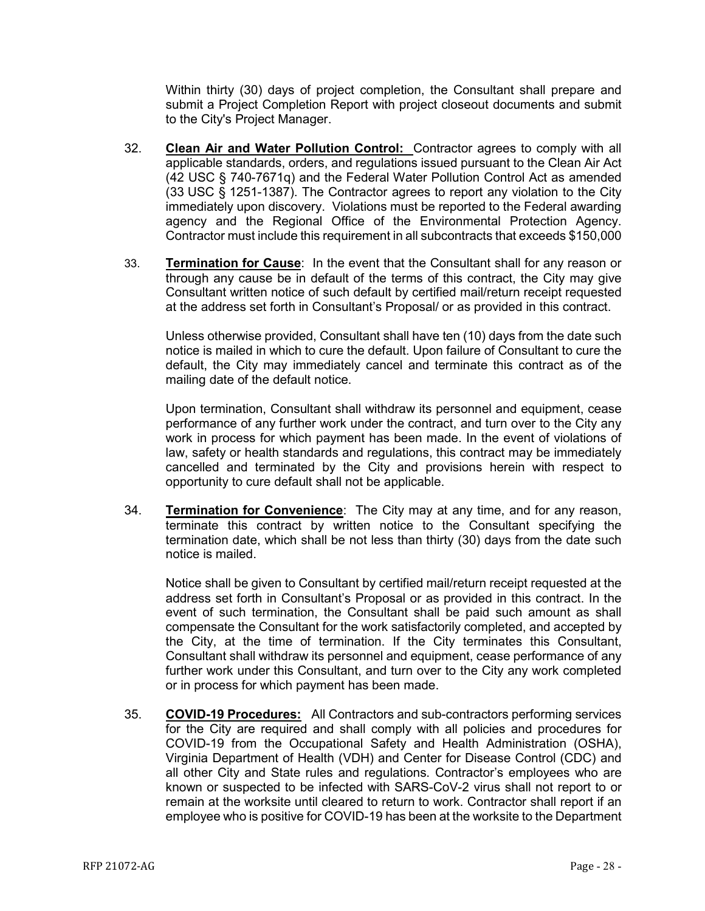Within thirty (30) days of project completion, the Consultant shall prepare and submit a Project Completion Report with project closeout documents and submit to the City's Project Manager.

- 32. **Clean Air and Water Pollution Control:** Contractor agrees to comply with all applicable standards, orders, and regulations issued pursuant to the Clean Air Act (42 USC § 740-7671q) and the Federal Water Pollution Control Act as amended (33 USC § 1251-1387). The Contractor agrees to report any violation to the City immediately upon discovery. Violations must be reported to the Federal awarding agency and the Regional Office of the Environmental Protection Agency. Contractor must include this requirement in all subcontracts that exceeds \$150,000
- 33. **Termination for Cause**: In the event that the Consultant shall for any reason or through any cause be in default of the terms of this contract, the City may give Consultant written notice of such default by certified mail/return receipt requested at the address set forth in Consultant's Proposal/ or as provided in this contract.

Unless otherwise provided, Consultant shall have ten (10) days from the date such notice is mailed in which to cure the default. Upon failure of Consultant to cure the default, the City may immediately cancel and terminate this contract as of the mailing date of the default notice.

Upon termination, Consultant shall withdraw its personnel and equipment, cease performance of any further work under the contract, and turn over to the City any work in process for which payment has been made. In the event of violations of law, safety or health standards and regulations, this contract may be immediately cancelled and terminated by the City and provisions herein with respect to opportunity to cure default shall not be applicable.

34. **Termination for Convenience**: The City may at any time, and for any reason, terminate this contract by written notice to the Consultant specifying the termination date, which shall be not less than thirty (30) days from the date such notice is mailed.

Notice shall be given to Consultant by certified mail/return receipt requested at the address set forth in Consultant's Proposal or as provided in this contract. In the event of such termination, the Consultant shall be paid such amount as shall compensate the Consultant for the work satisfactorily completed, and accepted by the City, at the time of termination. If the City terminates this Consultant, Consultant shall withdraw its personnel and equipment, cease performance of any further work under this Consultant, and turn over to the City any work completed or in process for which payment has been made.

35. **COVID-19 Procedures:** All Contractors and sub-contractors performing services for the City are required and shall comply with all policies and procedures for COVID-19 from the Occupational Safety and Health Administration (OSHA), Virginia Department of Health (VDH) and Center for Disease Control (CDC) and all other City and State rules and regulations. Contractor's employees who are known or suspected to be infected with SARS-CoV-2 virus shall not report to or remain at the worksite until cleared to return to work. Contractor shall report if an employee who is positive for COVID-19 has been at the worksite to the Department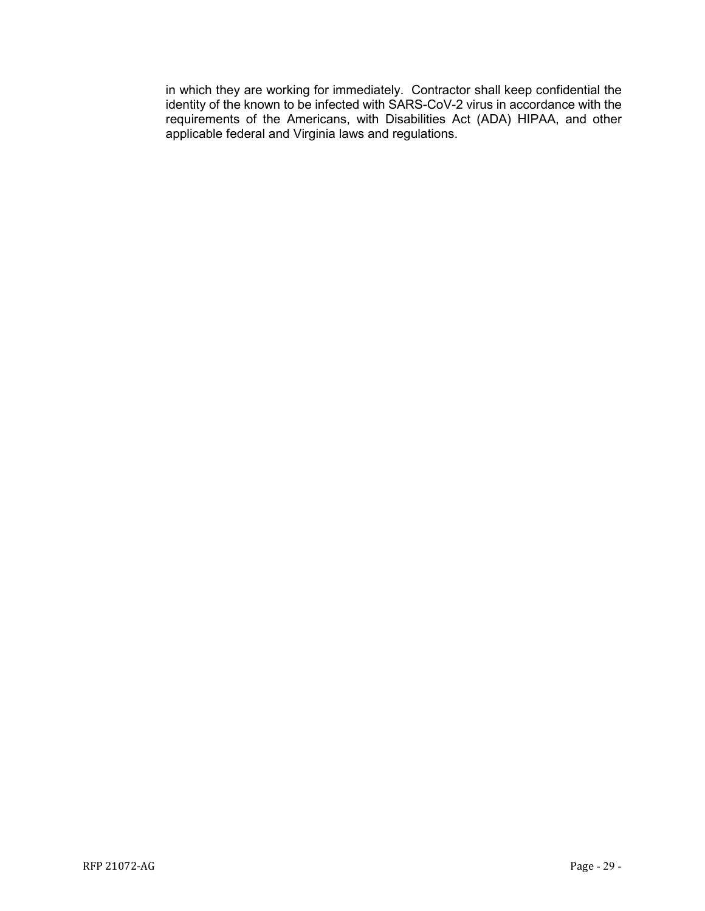in which they are working for immediately. Contractor shall keep confidential the identity of the known to be infected with SARS-CoV-2 virus in accordance with the requirements of the Americans, with Disabilities Act (ADA) HIPAA, and other applicable federal and Virginia laws and regulations.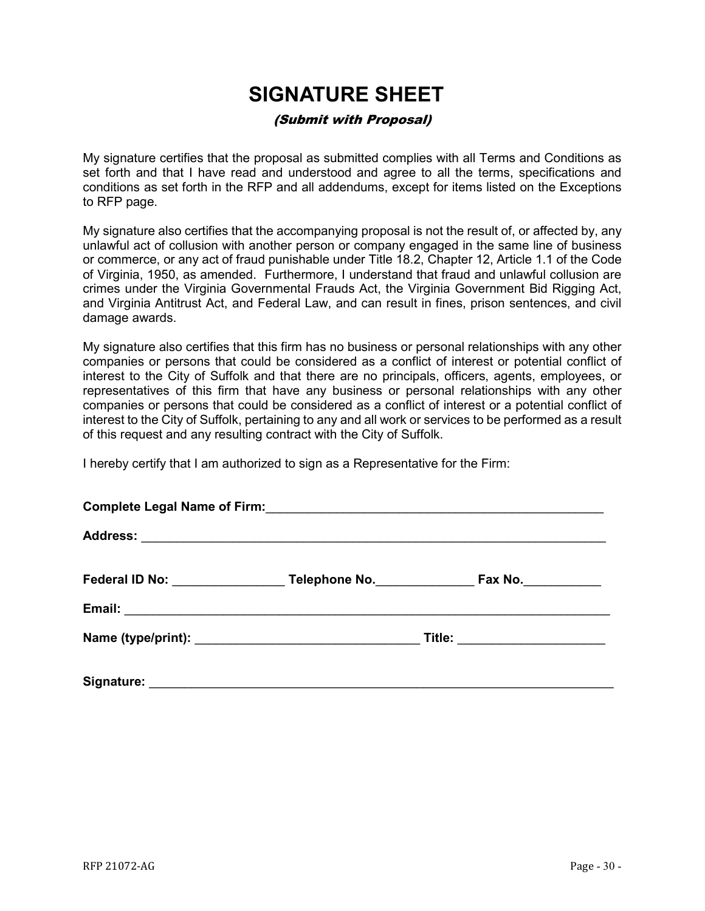## **SIGNATURE SHEET**

## (Submit with Proposal)

<span id="page-29-0"></span>My signature certifies that the proposal as submitted complies with all Terms and Conditions as set forth and that I have read and understood and agree to all the terms, specifications and conditions as set forth in the RFP and all addendums, except for items listed on the Exceptions to RFP page.

My signature also certifies that the accompanying proposal is not the result of, or affected by, any unlawful act of collusion with another person or company engaged in the same line of business or commerce, or any act of fraud punishable under Title 18.2, Chapter 12, Article 1.1 of the Code of Virginia, 1950, as amended. Furthermore, I understand that fraud and unlawful collusion are crimes under the Virginia Governmental Frauds Act, the Virginia Government Bid Rigging Act, and Virginia Antitrust Act, and Federal Law, and can result in fines, prison sentences, and civil damage awards.

My signature also certifies that this firm has no business or personal relationships with any other companies or persons that could be considered as a conflict of interest or potential conflict of interest to the City of Suffolk and that there are no principals, officers, agents, employees, or representatives of this firm that have any business or personal relationships with any other companies or persons that could be considered as a conflict of interest or a potential conflict of interest to the City of Suffolk, pertaining to any and all work or services to be performed as a result of this request and any resulting contract with the City of Suffolk.

I hereby certify that I am authorized to sign as a Representative for the Firm:

|  | Federal ID No: Telephone No. | Fax No.                   |  |  |
|--|------------------------------|---------------------------|--|--|
|  |                              |                           |  |  |
|  |                              | Title: __________________ |  |  |
|  |                              |                           |  |  |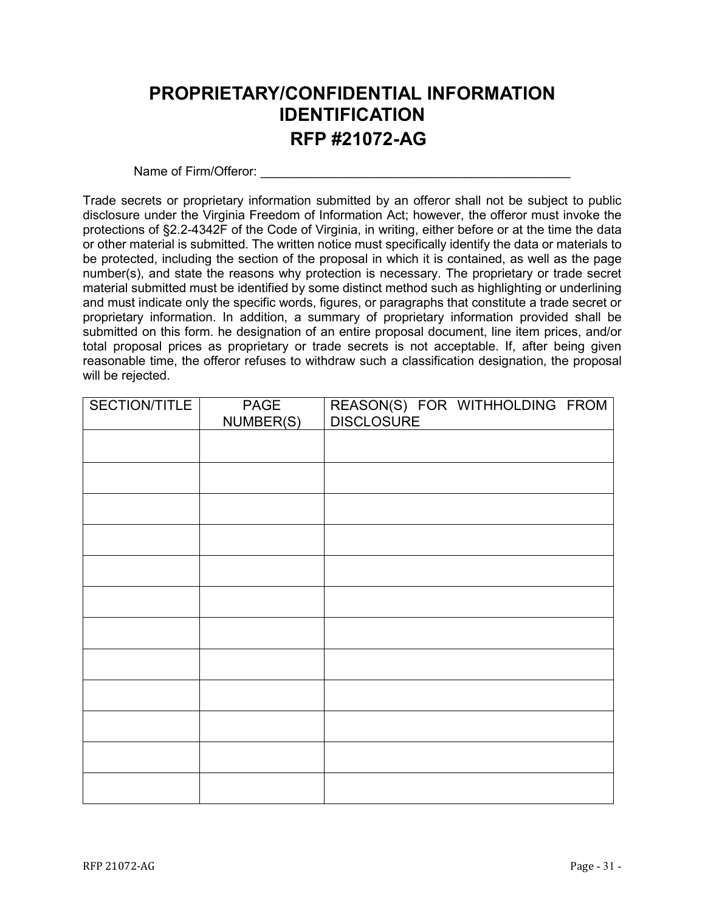## <span id="page-30-0"></span>**PROPRIETARY/CONFIDENTIAL INFORMATION IDENTIFICATION RFP #21072-AG**

Name of Firm/Offeror:

Trade secrets or proprietary information submitted by an offeror shall not be subject to public disclosure under the Virginia Freedom of Information Act; however, the offeror must invoke the protections of §2.2-4342F of the Code of Virginia, in writing, either before or at the time the data or other material is submitted. The written notice must specifically identify the data or materials to be protected, including the section of the proposal in which it is contained, as well as the page number(s), and state the reasons why protection is necessary. The proprietary or trade secret material submitted must be identified by some distinct method such as highlighting or underlining and must indicate only the specific words, figures, or paragraphs that constitute a trade secret or proprietary information. In addition, a summary of proprietary information provided shall be submitted on this form. he designation of an entire proposal document, line item prices, and/or total proposal prices as proprietary or trade secrets is not acceptable. If, after being given reasonable time, the offeror refuses to withdraw such a classification designation, the proposal will be rejected.

| SECTION/TITLE | PAGE<br>NUMBER(S) | REASON(S) FOR WITHHOLDING FROM<br>DISCLOSURE |
|---------------|-------------------|----------------------------------------------|
|               |                   |                                              |
|               |                   |                                              |
|               |                   |                                              |
|               |                   |                                              |
|               |                   |                                              |
|               |                   |                                              |
|               |                   |                                              |
|               |                   |                                              |
|               |                   |                                              |
|               |                   |                                              |
|               |                   |                                              |
|               |                   |                                              |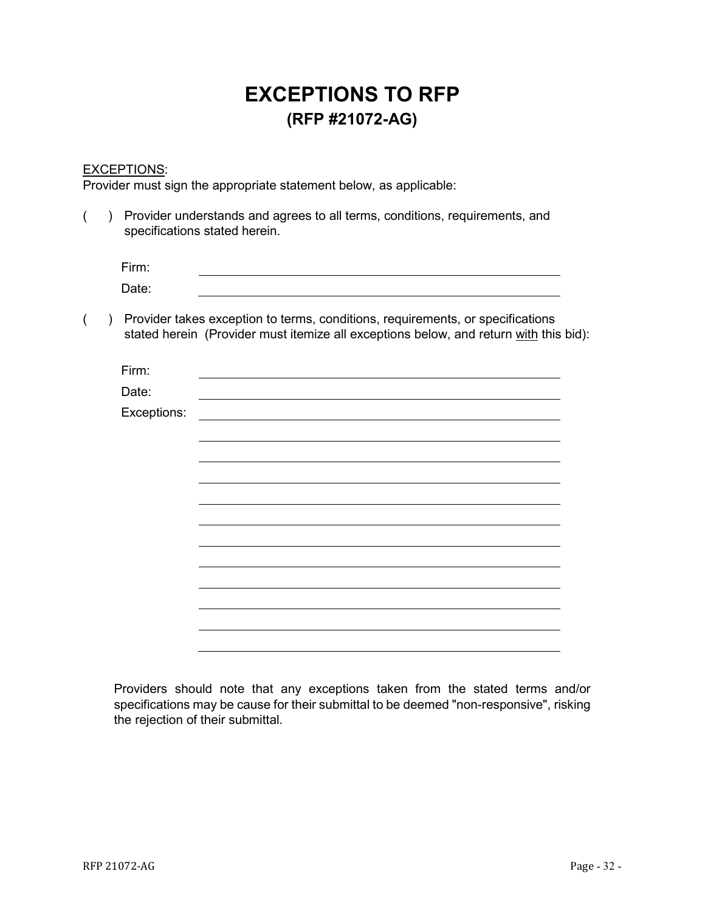## **EXCEPTIONS TO RFP (RFP #21072-AG)**

## <span id="page-31-0"></span>EXCEPTIONS:

Provider must sign the appropriate statement below, as applicable:

| Provider understands and agrees to all terms, conditions, requirements, and<br>specifications stated herein. |             |                                                                                                                                                                         |  |
|--------------------------------------------------------------------------------------------------------------|-------------|-------------------------------------------------------------------------------------------------------------------------------------------------------------------------|--|
|                                                                                                              | Firm:       |                                                                                                                                                                         |  |
|                                                                                                              | Date:       |                                                                                                                                                                         |  |
|                                                                                                              |             | Provider takes exception to terms, conditions, requirements, or specifications<br>stated herein (Provider must itemize all exceptions below, and return with this bid): |  |
|                                                                                                              | Firm:       |                                                                                                                                                                         |  |
|                                                                                                              | Date:       |                                                                                                                                                                         |  |
|                                                                                                              | Exceptions: |                                                                                                                                                                         |  |
|                                                                                                              |             |                                                                                                                                                                         |  |
|                                                                                                              |             |                                                                                                                                                                         |  |
|                                                                                                              |             |                                                                                                                                                                         |  |
|                                                                                                              |             |                                                                                                                                                                         |  |
|                                                                                                              |             |                                                                                                                                                                         |  |
|                                                                                                              |             |                                                                                                                                                                         |  |
|                                                                                                              |             |                                                                                                                                                                         |  |
|                                                                                                              |             |                                                                                                                                                                         |  |
|                                                                                                              |             |                                                                                                                                                                         |  |
|                                                                                                              |             |                                                                                                                                                                         |  |

Providers should note that any exceptions taken from the stated terms and/or specifications may be cause for their submittal to be deemed "non-responsive", risking the rejection of their submittal.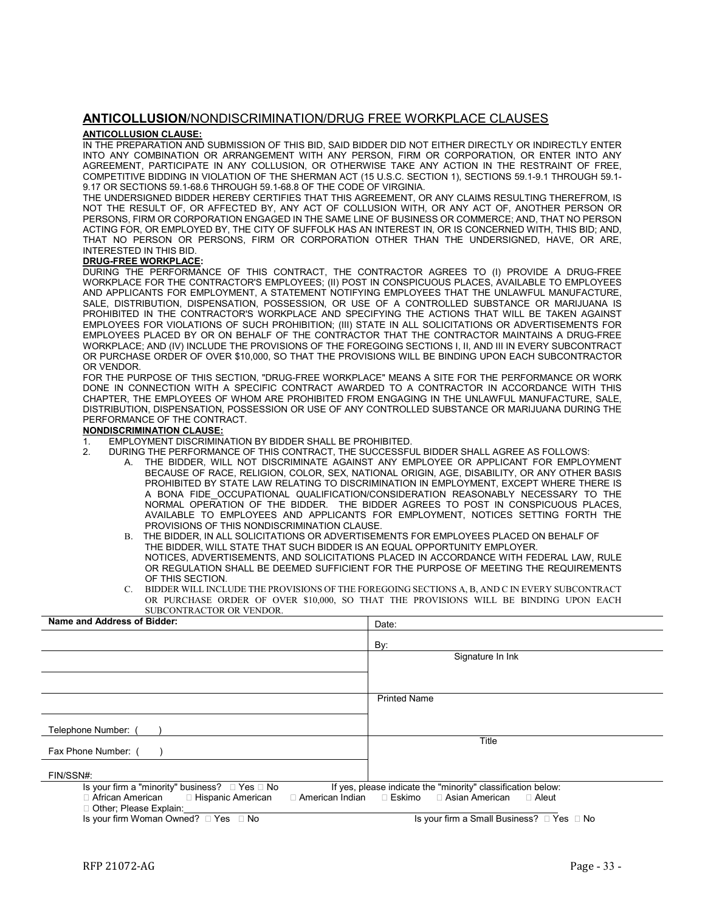#### <span id="page-32-0"></span>**ANTICOLLUSION**/NONDISCRIMINATION/DRUG FREE WORKPLACE CLAUSES

#### **ANTICOLLUSION CLAUSE:**

IN THE PREPARATION AND SUBMISSION OF THIS BID, SAID BIDDER DID NOT EITHER DIRECTLY OR INDIRECTLY ENTER INTO ANY COMBINATION OR ARRANGEMENT WITH ANY PERSON, FIRM OR CORPORATION, OR ENTER INTO ANY AGREEMENT, PARTICIPATE IN ANY COLLUSION, OR OTHERWISE TAKE ANY ACTION IN THE RESTRAINT OF FREE, COMPETITIVE BIDDING IN VIOLATION OF THE SHERMAN ACT (15 U.S.C. SECTION 1), SECTIONS 59.1-9.1 THROUGH 59.1- 9.17 OR SECTIONS 59.1-68.6 THROUGH 59.1-68.8 OF THE CODE OF VIRGINIA.

THE UNDERSIGNED BIDDER HEREBY CERTIFIES THAT THIS AGREEMENT, OR ANY CLAIMS RESULTING THEREFROM, IS NOT THE RESULT OF, OR AFFECTED BY, ANY ACT OF COLLUSION WITH, OR ANY ACT OF, ANOTHER PERSON OR PERSONS, FIRM OR CORPORATION ENGAGED IN THE SAME LINE OF BUSINESS OR COMMERCE; AND, THAT NO PERSON ACTING FOR, OR EMPLOYED BY, THE CITY OF SUFFOLK HAS AN INTEREST IN, OR IS CONCERNED WITH, THIS BID; AND, THAT NO PERSON OR PERSONS, FIRM OR CORPORATION OTHER THAN THE UNDERSIGNED, HAVE, OR ARE, INTERESTED IN THIS BID.

#### **DRUG-FREE WORKPLACE:**

DURING THE PERFORMANCE OF THIS CONTRACT, THE CONTRACTOR AGREES TO (I) PROVIDE A DRUG-FREE WORKPLACE FOR THE CONTRACTOR'S EMPLOYEES; (II) POST IN CONSPICUOUS PLACES, AVAILABLE TO EMPLOYEES AND APPLICANTS FOR EMPLOYMENT, A STATEMENT NOTIFYING EMPLOYEES THAT THE UNLAWFUL MANUFACTURE, SALE, DISTRIBUTION, DISPENSATION, POSSESSION, OR USE OF A CONTROLLED SUBSTANCE OR MARIJUANA IS PROHIBITED IN THE CONTRACTOR'S WORKPLACE AND SPECIFYING THE ACTIONS THAT WILL BE TAKEN AGAINST EMPLOYEES FOR VIOLATIONS OF SUCH PROHIBITION; (III) STATE IN ALL SOLICITATIONS OR ADVERTISEMENTS FOR EMPLOYEES PLACED BY OR ON BEHALF OF THE CONTRACTOR THAT THE CONTRACTOR MAINTAINS A DRUG-FREE WORKPLACE; AND (IV) INCLUDE THE PROVISIONS OF THE FOREGOING SECTIONS I, II, AND III IN EVERY SUBCONTRACT OR PURCHASE ORDER OF OVER \$10,000, SO THAT THE PROVISIONS WILL BE BINDING UPON EACH SUBCONTRACTOR OR VENDOR.

FOR THE PURPOSE OF THIS SECTION, "DRUG-FREE WORKPLACE" MEANS A SITE FOR THE PERFORMANCE OR WORK DONE IN CONNECTION WITH A SPECIFIC CONTRACT AWARDED TO A CONTRACTOR IN ACCORDANCE WITH THIS CHAPTER, THE EMPLOYEES OF WHOM ARE PROHIBITED FROM ENGAGING IN THE UNLAWFUL MANUFACTURE, SALE, DISTRIBUTION, DISPENSATION, POSSESSION OR USE OF ANY CONTROLLED SUBSTANCE OR MARIJUANA DURING THE PERFORMANCE OF THE CONTRACT.

#### **NONDISCRIMINATION CLAUSE:**

- 1. EMPLOYMENT DISCRIMINATION BY BIDDER SHALL BE PROHIBITED.
- 2. DURING THE PERFORMANCE OF THIS CONTRACT, THE SUCCESSFUL BIDDER SHALL AGREE AS FOLLOWS:
	- A. THE BIDDER, WILL NOT DISCRIMINATE AGAINST ANY EMPLOYEE OR APPLICANT FOR EMPLOYMENT BECAUSE OF RACE, RELIGION, COLOR, SEX, NATIONAL ORIGIN, AGE, DISABILITY, OR ANY OTHER BASIS PROHIBITED BY STATE LAW RELATING TO DISCRIMINATION IN EMPLOYMENT, EXCEPT WHERE THERE IS A BONA FIDE\_OCCUPATIONAL QUALIFICATION/CONSIDERATION REASONABLY NECESSARY TO THE NORMAL OPERATION OF THE BIDDER. THE BIDDER AGREES TO POST IN CONSPICUOUS PLACES, AVAILABLE TO EMPLOYEES AND APPLICANTS FOR EMPLOYMENT, NOTICES SETTING FORTH THE PROVISIONS OF THIS NONDISCRIMINATION CLAUSE.
	- B. THE BIDDER, IN ALL SOLICITATIONS OR ADVERTISEMENTS FOR EMPLOYEES PLACED ON BEHALF OF THE BIDDER, WILL STATE THAT SUCH BIDDER IS AN EQUAL OPPORTUNITY EMPLOYER. NOTICES, ADVERTISEMENTS, AND SOLICITATIONS PLACED IN ACCORDANCE WITH FEDERAL LAW, RULE OR REGULATION SHALL BE DEEMED SUFFICIENT FOR THE PURPOSE OF MEETING THE REQUIREMENTS OF THIS SECTION.
	- C. BIDDER WILL INCLUDE THE PROVISIONS OF THE FOREGOING SECTIONS A, B, AND C IN EVERY SUBCONTRACT OR PURCHASE ORDER OF OVER \$10,000, SO THAT THE PROVISIONS WILL BE BINDING UPON EACH SUBCONTRACTOR OR VENDOR.

| Name and Address of Bidder:                                                    | Date:                                                                                                                       |  |
|--------------------------------------------------------------------------------|-----------------------------------------------------------------------------------------------------------------------------|--|
|                                                                                | By:                                                                                                                         |  |
|                                                                                | Signature In Ink                                                                                                            |  |
|                                                                                |                                                                                                                             |  |
|                                                                                | <b>Printed Name</b>                                                                                                         |  |
|                                                                                |                                                                                                                             |  |
| Telephone Number: (                                                            |                                                                                                                             |  |
| Fax Phone Number: (                                                            | Title                                                                                                                       |  |
| FIN/SSN#:                                                                      |                                                                                                                             |  |
| Is your firm a "minority" business? $\Box$ Yes $\Box$ No<br>□ African American | If yes, please indicate the "minority" classification below:<br>□ American Indian □ Eskimo □ Asian American<br>$\Box$ Aleut |  |
| □ Hispanic American<br>□ Other; Please Explain:                                |                                                                                                                             |  |

Is your firm Woman Owned? □ Yes □ No Is your firm a Small Business? □ Yes □ No